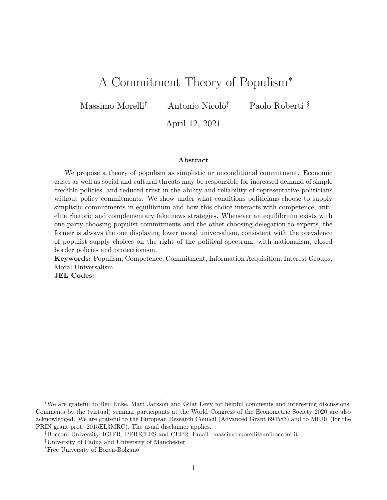# <span id="page-0-0"></span>A Commitment Theory of Populism<sup>∗</sup>

Massimo Morelli<sup>†</sup> Antonio Nicolò<sup>‡</sup> Paolo Roberti §

April 12, 2021

#### **Abstract**

We propose a theory of populism as simplistic or unconditional commitment. Economic crises as well as social and cultural threats may be responsible for increased demand of simple credible policies, and reduced trust in the ability and reliability of representative politicians without policy commitments. We show under what conditions politicians choose to supply simplistic commitments in equilibrium and how this choice interacts with competence, antielite rhetoric and complementary fake news strategies. Whenever an equilibrium exists with one party choosing populist commitments and the other choosing delegation to experts, the former is always the one displaying lower moral universalism, consistent with the prevalence of populist supply choices on the right of the political spectrum, with nationalism, closed border policies and protectionism.

**Keywords:** Populism, Competence, Commitment, Information Acquisition, Interest Groups, Moral Universalism.

**JEL Codes:**

<sup>∗</sup>We are grateful to Ben Enke, Matt Jackson and Gilat Levy for helpful comments and interesting discussions. Comments by the (virtual) seminar participants at the World Congress of the Econometric Society 2020 are also acknowledged. We are grateful to the European Research Council (Advanced Grant 694583) and to MIUR (for the PRIN grant prot. 2015EL3MRC). The usual disclaimer applies.

<sup>†</sup>Bocconi University, IGIER, PERICLES and CEPR. Email: massimo.morelli@unibocconi.it

<sup>‡</sup>University of Padua and University of Manchester

<sup>§</sup>Free University of Bozen-Bolzano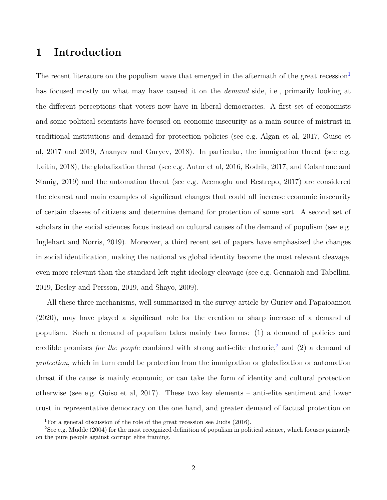## **1 Introduction**

The recent literature on the populism wave that emerged in the aftermath of the great recession<sup>[1](#page-1-0)</sup> has focused mostly on what may have caused it on the *demand* side, i.e., primarily looking at the different perceptions that voters now have in liberal democracies. A first set of economists and some political scientists have focused on economic insecurity as a main source of mistrust in traditional institutions and demand for protection policies (see e.g. Algan et al, 2017, Guiso et al, 2017 and 2019, Ananyev and Guryev, 2018). In particular, the immigration threat (see e.g. Laitin, 2018), the globalization threat (see e.g. Autor et al, 2016, Rodrik, 2017, and Colantone and Stanig, 2019) and the automation threat (see e.g. Acemoglu and Restrepo, 2017) are considered the clearest and main examples of significant changes that could all increase economic insecurity of certain classes of citizens and determine demand for protection of some sort. A second set of scholars in the social sciences focus instead on cultural causes of the demand of populism (see e.g. Inglehart and Norris, 2019). Moreover, a third recent set of papers have emphasized the changes in social identification, making the national vs global identity become the most relevant cleavage, even more relevant than the standard left-right ideology cleavage (see e.g. Gennaioli and Tabellini, 2019, Besley and Persson, 2019, and Shayo, 2009).

All these three mechanisms, well summarized in the survey article by Guriev and Papaioannou (2020), may have played a significant role for the creation or sharp increase of a demand of populism. Such a demand of populism takes mainly two forms: (1) a demand of policies and credible promises *for the people* combined with strong anti-elite rhetoric,<sup>[2](#page-1-1)</sup> and (2) a demand of *protection*, which in turn could be protection from the immigration or globalization or automation threat if the cause is mainly economic, or can take the form of identity and cultural protection otherwise (see e.g. Guiso et al, 2017). These two key elements – anti-elite sentiment and lower trust in representative democracy on the one hand, and greater demand of factual protection on

<span id="page-1-1"></span><span id="page-1-0"></span><sup>&</sup>lt;sup>1</sup>For a general discussion of the role of the great recession see Judis (2016).

<sup>2</sup>See e.g. Mudde (2004) for the most recognized definition of populism in political science, which focuses primarily on the pure people against corrupt elite framing.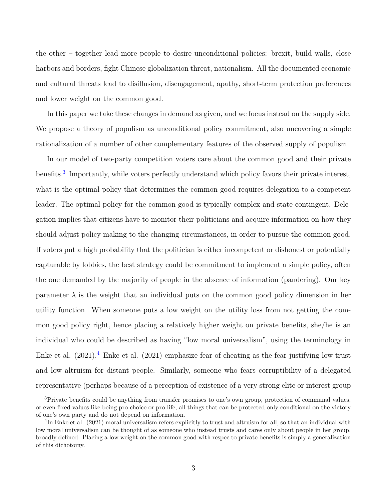the other – together lead more people to desire unconditional policies: brexit, build walls, close harbors and borders, fight Chinese globalization threat, nationalism. All the documented economic and cultural threats lead to disillusion, disengagement, apathy, short-term protection preferences and lower weight on the common good.

In this paper we take these changes in demand as given, and we focus instead on the supply side. We propose a theory of populism as unconditional policy commitment, also uncovering a simple rationalization of a number of other complementary features of the observed supply of populism.

In our model of two-party competition voters care about the common good and their private benefits.<sup>[3](#page-2-0)</sup> Importantly, while voters perfectly understand which policy favors their private interest, what is the optimal policy that determines the common good requires delegation to a competent leader. The optimal policy for the common good is typically complex and state contingent. Delegation implies that citizens have to monitor their politicians and acquire information on how they should adjust policy making to the changing circumstances, in order to pursue the common good. If voters put a high probability that the politician is either incompetent or dishonest or potentially capturable by lobbies, the best strategy could be commitment to implement a simple policy, often the one demanded by the majority of people in the absence of information (pandering). Our key parameter  $\lambda$  is the weight that an individual puts on the common good policy dimension in her utility function. When someone puts a low weight on the utility loss from not getting the common good policy right, hence placing a relatively higher weight on private benefits, she/he is an individual who could be described as having "low moral universalism", using the terminology in Enke et al.  $(2021)^{4}$  $(2021)^{4}$  $(2021)^{4}$  Enke et al.  $(2021)$  emphasize fear of cheating as the fear justifying low trust and low altruism for distant people. Similarly, someone who fears corruptibility of a delegated representative (perhaps because of a perception of existence of a very strong elite or interest group

<span id="page-2-0"></span><sup>&</sup>lt;sup>3</sup>Private benefits could be anything from transfer promises to one's own group, protection of communal values, or even fixed values like being pro-choice or pro-life, all things that can be protected only conditional on the victory of one's own party and do not depend on information.

<span id="page-2-1"></span><sup>&</sup>lt;sup>4</sup>In Enke et al. (2021) moral universalism refers explicitly to trust and altruism for all, so that an individual with low moral universalism can be thought of as someone who instead trusts and cares only about people in her group, broadly defined. Placing a low weight on the common good with respec to private benefits is simply a generalization of this dichotomy.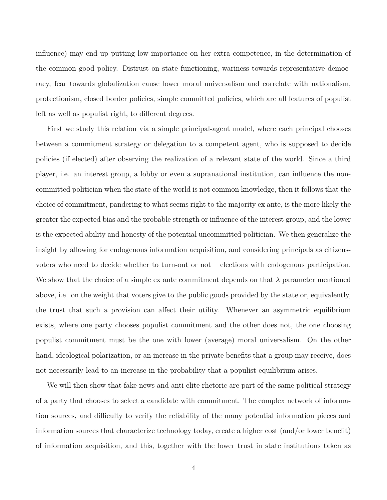influence) may end up putting low importance on her extra competence, in the determination of the common good policy. Distrust on state functioning, wariness towards representative democracy, fear towards globalization cause lower moral universalism and correlate with nationalism, protectionism, closed border policies, simple committed policies, which are all features of populist left as well as populist right, to different degrees.

First we study this relation via a simple principal-agent model, where each principal chooses between a commitment strategy or delegation to a competent agent, who is supposed to decide policies (if elected) after observing the realization of a relevant state of the world. Since a third player, i.e. an interest group, a lobby or even a supranational institution, can influence the noncommitted politician when the state of the world is not common knowledge, then it follows that the choice of commitment, pandering to what seems right to the majority ex ante, is the more likely the greater the expected bias and the probable strength or influence of the interest group, and the lower is the expected ability and honesty of the potential uncommitted politician. We then generalize the insight by allowing for endogenous information acquisition, and considering principals as citizensvoters who need to decide whether to turn-out or not – elections with endogenous participation. We show that the choice of a simple ex ante commitment depends on that  $\lambda$  parameter mentioned above, i.e. on the weight that voters give to the public goods provided by the state or, equivalently, the trust that such a provision can affect their utility. Whenever an asymmetric equilibrium exists, where one party chooses populist commitment and the other does not, the one choosing populist commitment must be the one with lower (average) moral universalism. On the other hand, ideological polarization, or an increase in the private benefits that a group may receive, does not necessarily lead to an increase in the probability that a populist equilibrium arises.

We will then show that fake news and anti-elite rhetoric are part of the same political strategy of a party that chooses to select a candidate with commitment. The complex network of information sources, and difficulty to verify the reliability of the many potential information pieces and information sources that characterize technology today, create a higher cost (and/or lower benefit) of information acquisition, and this, together with the lower trust in state institutions taken as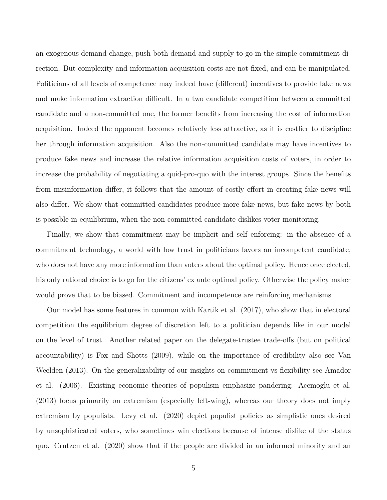an exogenous demand change, push both demand and supply to go in the simple commitment direction. But complexity and information acquisition costs are not fixed, and can be manipulated. Politicians of all levels of competence may indeed have (different) incentives to provide fake news and make information extraction difficult. In a two candidate competition between a committed candidate and a non-committed one, the former benefits from increasing the cost of information acquisition. Indeed the opponent becomes relatively less attractive, as it is costlier to discipline her through information acquisition. Also the non-committed candidate may have incentives to produce fake news and increase the relative information acquisition costs of voters, in order to increase the probability of negotiating a quid-pro-quo with the interest groups. Since the benefits from misinformation differ, it follows that the amount of costly effort in creating fake news will also differ. We show that committed candidates produce more fake news, but fake news by both is possible in equilibrium, when the non-committed candidate dislikes voter monitoring.

Finally, we show that commitment may be implicit and self enforcing: in the absence of a commitment technology, a world with low trust in politicians favors an incompetent candidate, who does not have any more information than voters about the optimal policy. Hence once elected, his only rational choice is to go for the citizens' ex ante optimal policy. Otherwise the policy maker would prove that to be biased. Commitment and incompetence are reinforcing mechanisms.

Our model has some features in common with Kartik et al. (2017), who show that in electoral competition the equilibrium degree of discretion left to a politician depends like in our model on the level of trust. Another related paper on the delegate-trustee trade-offs (but on political accountability) is Fox and Shotts (2009), while on the importance of credibility also see Van Weelden (2013). On the generalizability of our insights on commitment vs flexibility see Amador et al. (2006). Existing economic theories of populism emphasize pandering: Acemoglu et al. (2013) focus primarily on extremism (especially left-wing), whereas our theory does not imply extremism by populists. Levy et al. (2020) depict populist policies as simplistic ones desired by unsophisticated voters, who sometimes win elections because of intense dislike of the status quo. Crutzen et al. (2020) show that if the people are divided in an informed minority and an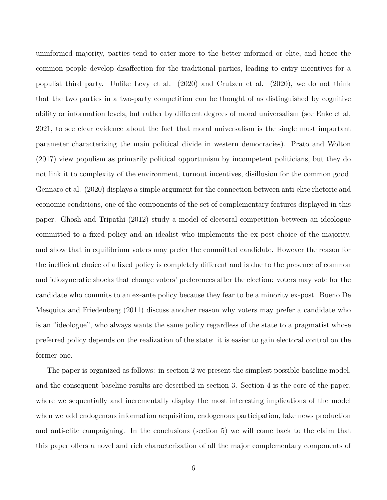uninformed majority, parties tend to cater more to the better informed or elite, and hence the common people develop disaffection for the traditional parties, leading to entry incentives for a populist third party. Unlike Levy et al. (2020) and Crutzen et al. (2020), we do not think that the two parties in a two-party competition can be thought of as distinguished by cognitive ability or information levels, but rather by different degrees of moral universalism (see Enke et al, 2021, to see clear evidence about the fact that moral universalism is the single most important parameter characterizing the main political divide in western democracies). Prato and Wolton (2017) view populism as primarily political opportunism by incompetent politicians, but they do not link it to complexity of the environment, turnout incentives, disillusion for the common good. Gennaro et al. (2020) displays a simple argument for the connection between anti-elite rhetoric and economic conditions, one of the components of the set of complementary features displayed in this paper. Ghosh and Tripathi (2012) study a model of electoral competition between an ideologue committed to a fixed policy and an idealist who implements the ex post choice of the majority, and show that in equilibrium voters may prefer the committed candidate. However the reason for the inefficient choice of a fixed policy is completely different and is due to the presence of common and idiosyncratic shocks that change voters' preferences after the election: voters may vote for the candidate who commits to an ex-ante policy because they fear to be a minority ex-post. Bueno De Mesquita and Friedenberg (2011) discuss another reason why voters may prefer a candidate who is an "ideologue", who always wants the same policy regardless of the state to a pragmatist whose preferred policy depends on the realization of the state: it is easier to gain electoral control on the former one.

The paper is organized as follows: in section 2 we present the simplest possible baseline model, and the consequent baseline results are described in section 3. Section 4 is the core of the paper, where we sequentially and incrementally display the most interesting implications of the model when we add endogenous information acquisition, endogenous participation, fake news production and anti-elite campaigning. In the conclusions (section 5) we will come back to the claim that this paper offers a novel and rich characterization of all the major complementary components of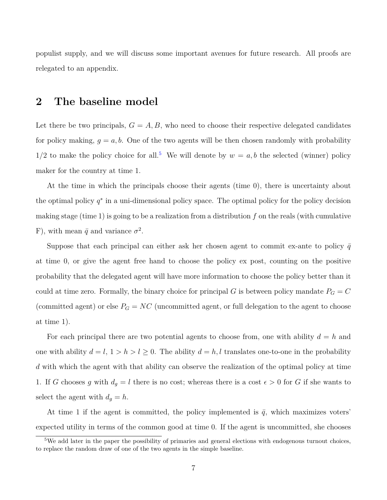populist supply, and we will discuss some important avenues for future research. All proofs are relegated to an appendix.

## **2 The baseline model**

Let there be two principals,  $G = A, B$ , who need to choose their respective delegated candidates for policy making,  $q = a, b$ . One of the two agents will be then chosen randomly with probability  $1/2$  to make the policy choice for all.<sup>[5](#page-6-0)</sup> We will denote by  $w = a, b$  the selected (winner) policy maker for the country at time 1.

At the time in which the principals choose their agents (time 0), there is uncertainty about the optimal policy  $q^*$  in a uni-dimensional policy space. The optimal policy for the policy decision making stage (time 1) is going to be a realization from a distribution *f* on the reals (with cumulative F), with mean  $\bar{q}$  and variance  $\sigma^2$ .

Suppose that each principal can either ask her chosen agent to commit ex-ante to policy  $\bar{q}$ at time 0, or give the agent free hand to choose the policy ex post, counting on the positive probability that the delegated agent will have more information to choose the policy better than it could at time zero. Formally, the binary choice for principal *G* is between policy mandate  $P_G = C$ (committed agent) or else  $P_G = NC$  (uncommitted agent, or full delegation to the agent to choose at time 1).

For each principal there are two potential agents to choose from, one with ability  $d = h$  and one with ability  $d = l$ ,  $1 > h > l \geq 0$ . The ability  $d = h, l$  translates one-to-one in the probability *d* with which the agent with that ability can observe the realization of the optimal policy at time 1. If *G* chooses *g* with  $d_g = l$  there is no cost; whereas there is a cost  $\epsilon > 0$  for *G* if she wants to select the agent with  $d_g = h$ .

At time 1 if the agent is committed, the policy implemented is  $\bar{q}$ , which maximizes voters' expected utility in terms of the common good at time 0. If the agent is uncommitted, she chooses

<span id="page-6-0"></span><sup>&</sup>lt;sup>5</sup>We add later in the paper the possibility of primaries and general elections with endogenous turnout choices, to replace the random draw of one of the two agents in the simple baseline.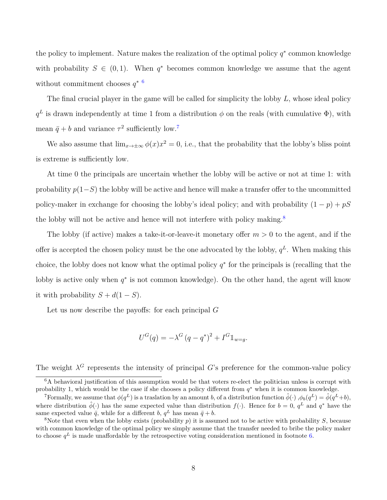the policy to implement. Nature makes the realization of the optimal policy  $q^*$  common knowledge with probability  $S \in (0,1)$ . When  $q^*$  becomes common knowledge we assume that the agent without commitment chooses *q* ∗ [6](#page-7-0)

The final crucial player in the game will be called for simplicity the lobby *L*, whose ideal policy  $q<sup>L</sup>$  is drawn independently at time 1 from a distribution  $\phi$  on the reals (with cumulative  $\Phi$ ), with mean  $\bar{q} + b$  and variance  $\tau^2$  sufficiently low.<sup>[7](#page-7-1)</sup>

We also assume that  $\lim_{x\to\pm\infty}\phi(x)x^2=0$ , i.e., that the probability that the lobby's bliss point is extreme is sufficiently low.

At time 0 the principals are uncertain whether the lobby will be active or not at time 1: with probability *p*(1−*S*) the lobby will be active and hence will make a transfer offer to the uncommitted policy-maker in exchange for choosing the lobby's ideal policy; and with probability  $(1 - p) + pS$ the lobby will not be active and hence will not interfere with policy making.<sup>[8](#page-7-2)</sup>

The lobby (if active) makes a take-it-or-leave-it monetary offer  $m > 0$  to the agent, and if the offer is accepted the chosen policy must be the one advocated by the lobby,  $q^L$ . When making this choice, the lobby does not know what the optimal policy  $q^*$  for the principals is (recalling that the lobby is active only when  $q^*$  is not common knowledge). On the other hand, the agent will know it with probability  $S + d(1 - S)$ .

Let us now describe the payoffs: for each principal *G*

$$
U^{G}(q) = -\lambda^{G} (q - q^{*})^{2} + I^{G} \mathbb{1}_{w=g}.
$$

The weight  $\lambda^G$  represents the intensity of principal *G*'s preference for the common-value policy

<span id="page-7-0"></span> $6A$  behavioral justification of this assumption would be that voters re-elect the politician unless is corrupt with probability 1, which would be the case if she chooses a policy different from  $q^*$  when it is common knowledge.

<span id="page-7-1"></span><sup>&</sup>lt;sup>7</sup>Formally, we assume that  $\phi(q^L)$  is a traslation by an amount *b*, of a distribution function  $\hat{\phi}(\cdot)$ ,  $\phi_b(q^L) = \hat{\phi}(q^L + b)$ , where distribution  $\hat{\phi}(\cdot)$  has the same expected value than distribution  $f(\cdot)$ . Hence for  $b = 0$ ,  $q^L$  and  $q^*$  have the same expected value  $\bar{q}$ , while for a different *b*,  $q^L$  has mean  $\bar{q} + b$ .

<span id="page-7-2"></span><sup>&</sup>lt;sup>8</sup>Note that even when the lobby exists (probability  $p$ ) it is assumed not to be active with probability  $S$ , because with common knowledge of the optimal policy we simply assume that the transfer needed to bribe the policy maker to choose  $q^L$  is made unaffordable by the retrospective voting consideration mentioned in footnote [6.](#page-7-0)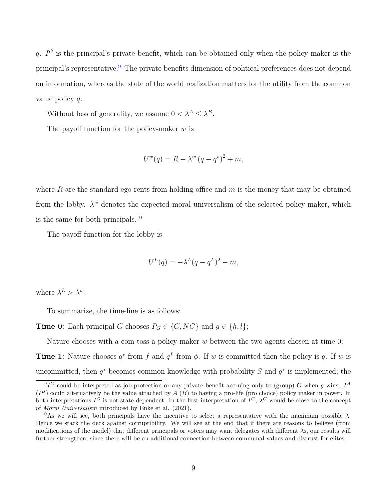*q*. *I <sup>G</sup>* is the principal's private benefit, which can be obtained only when the policy maker is the principal's representative.<sup>[9](#page-8-0)</sup> The private benefits dimension of political preferences does not depend on information, whereas the state of the world realization matters for the utility from the common value policy *q*.

Without loss of generality, we assume  $0 < \lambda^A \leq \lambda^B$ .

The payoff function for the policy-maker *w* is

$$
U^w(q) = R - \lambda^w (q - q^*)^2 + m,
$$

where *R* are the standard ego-rents from holding office and *m* is the money that may be obtained from the lobby.  $\lambda^w$  denotes the expected moral universalism of the selected policy-maker, which is the same for both principals. $^{10}$  $^{10}$  $^{10}$ 

The payoff function for the lobby is

$$
U^{L}(q) = -\lambda^{L}(q - q^{L})^{2} - m,
$$

where  $\lambda^L > \lambda^w$ .

To summarize, the time-line is as follows:

**Time 0:** Each principal *G* chooses  $P_G \in \{C, NC\}$  and  $g \in \{h, l\};$ 

Nature chooses with a coin toss a policy-maker *w* between the two agents chosen at time 0;

**Time 1:** Nature chooses  $q^*$  from  $f$  and  $q^L$  from  $\phi$ . If *w* is committed then the policy is  $\bar{q}$ . If *w* is uncommitted, then  $q^*$  becomes common knowledge with probability *S* and  $q^*$  is implemented; the

<span id="page-8-0"></span> ${}^{9}I^G$  could be interpreted as job-protection or any private benefit accruing only to (group) *G* when *g* wins. *I*<sup>A</sup>  $(I^B)$  could alternatively be the value attached by  $A(B)$  to having a pro-life (pro choice) policy maker in power. In both interpretations  $I^G$  is not state dependent. In the first interpretation of  $I^G$ ,  $\lambda^G$  would be close to the concept of *Moral Universalism* introduced by Enke et al. (2021).

<span id="page-8-1"></span><sup>&</sup>lt;sup>10</sup>As we will see, both principals have the incentive to select a representative with the maximum possible  $\lambda$ . Hence we stack the deck against corruptibility. We will see at the end that if there are reasons to believe (from modifications of the model) that different principals or voters may want delegates with different *λ*s, our results will further strengthen, since there will be an additional connection between communal values and distrust for elites.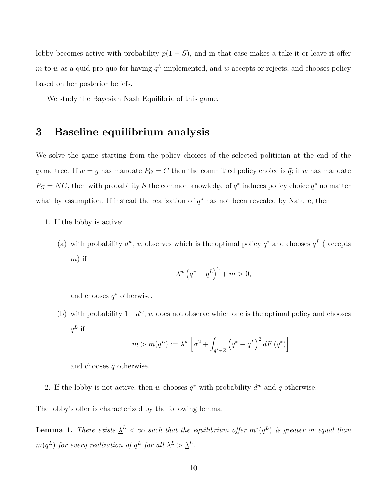lobby becomes active with probability  $p(1 - S)$ , and in that case makes a take-it-or-leave-it offer *m* to *w* as a quid-pro-quo for having  $q<sup>L</sup>$  implemented, and *w* accepts or rejects, and chooses policy based on her posterior beliefs.

We study the Bayesian Nash Equilibria of this game.

## **3 Baseline equilibrium analysis**

We solve the game starting from the policy choices of the selected politician at the end of the game tree. If  $w = g$  has mandate  $P_G = C$  then the committed policy choice is  $\bar{q}$ ; if *w* has mandate  $P_G = NC$ , then with probability *S* the common knowledge of  $q^*$  induces policy choice  $q^*$  no matter what by assumption. If instead the realization of  $q^*$  has not been revealed by Nature, then

- 1. If the lobby is active:
	- (a) with probability  $d^w$ , w observes which is the optimal policy  $q^*$  and chooses  $q^L$  (accepts *m*) if

$$
-\lambda^{w} (q^* - q^L)^2 + m > 0,
$$

and chooses  $q^*$  otherwise.

(b) with probability  $1-d^w$ , *w* does not observe which one is the optimal policy and chooses  $q^L$  if

$$
m > \bar{m}(q^L) := \lambda^w \left[ \sigma^2 + \int_{q^* \in \mathbb{R}} \left( q^* - q^L \right)^2 dF \left( q^* \right) \right]
$$

and chooses  $\bar{q}$  otherwise.

2. If the lobby is not active, then *w* chooses  $q^*$  with probability  $d^w$  and  $\bar{q}$  otherwise.

The lobby's offer is characterized by the following lemma:

<span id="page-9-0"></span>**Lemma 1.** *There exists*  $\underline{\lambda}^L < \infty$  *such that the equilibrium offer*  $m^*(q^L)$  *is greater or equal than m*<sup>(*q*L</sup>) *for every realization of q*<sup>L</sup> *for all*  $\lambda^L > \underline{\lambda}^L$ .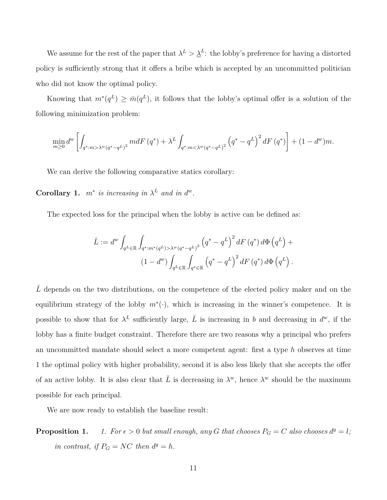We assume for the rest of the paper that  $\lambda^L > \underline{\lambda}^L$ : the lobby's preference for having a distorted policy is sufficiently strong that it offers a bribe which is accepted by an uncommitted politician who did not know the optimal policy.

Knowing that  $m^*(q^L) \geq \bar{m}(q^L)$ , it follows that the lobby's optimal offer is a solution of the following minimization problem:

$$
\min_{m\geq 0} d^{w} \left[ \int_{q^* : m > \lambda^w (q^* - q^L)^2} m dF(q^*) + \lambda^L \int_{q^* : m < \lambda^w (q^* - q^L)^2} \left( q^* - q^L \right)^2 dF(q^*) \right] + (1 - d^w) m.
$$

We can derive the following comparative statics corollary:

<span id="page-10-0"></span>**Corollary 1.**  $m^*$  *is increasing in*  $\lambda^L$  *and in*  $d^w$ *.* 

The expected loss for the principal when the lobby is active can be defined as:

$$
\bar{L} := d^{w} \int_{q^{L} \in \mathbb{R}} \int_{q^{*}:m^{*}(q^{L}) > \lambda^{w}(q^{*}-q^{L})^{2}} \left(q^{*}-q^{L}\right)^{2} dF(q^{*}) d\Phi\left(q^{L}\right) +
$$
\n
$$
(1-d^{w}) \int_{q^{L} \in \mathbb{R}} \int_{q^{*} \in \mathbb{R}} \left(q^{*}-q^{L}\right)^{2} dF(q^{*}) d\Phi\left(q^{L}\right).
$$

L depends on the two distributions, on the competence of the elected policy maker and on the equilibrium strategy of the lobby  $m^*(\cdot)$ , which is increasing in the winner's competence. It is possible to show that for  $\lambda^L$  sufficiently large,  $\overline{L}$  is increasing in *b* and decreasing in  $d^w$ , if the lobby has a finite budget constraint. Therefore there are two reasons why a principal who prefers an uncommitted mandate should select a more competent agent: first a type *h* observes at time 1 the optimal policy with higher probability, second it is also less likely that she accepts the offer of an active lobby. It is also clear that  $\overline{L}$  is decreasing in  $\lambda^w$ , hence  $\lambda^w$  should be the maximum possible for each principal.

We are now ready to establish the baseline result:

**Proposition 1.** *1. For*  $\epsilon > 0$  *but small enough, any G that chooses*  $P_G = C$  *also chooses*  $d^g = l$ *; in contrast, if*  $P_G = NC$  *then*  $d^g = h$ *.*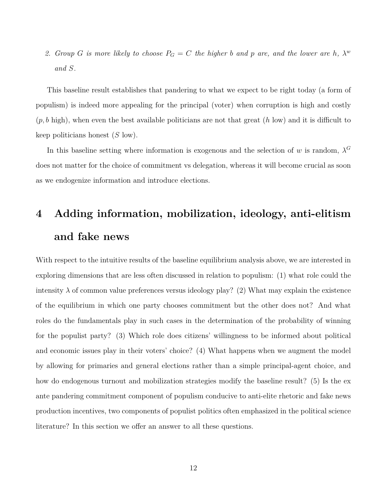2. *Group G is more likely to choose*  $P_G = C$  *the higher b and p are, and the lower are h*,  $\lambda^w$ *and S.*

This baseline result establishes that pandering to what we expect to be right today (a form of populism) is indeed more appealing for the principal (voter) when corruption is high and costly (*p, b* high), when even the best available politicians are not that great (*h* low) and it is difficult to keep politicians honest (*S* low).

In this baseline setting where information is exogenous and the selection of *w* is random,  $\lambda^G$ does not matter for the choice of commitment vs delegation, whereas it will become crucial as soon as we endogenize information and introduce elections.

# **4 Adding information, mobilization, ideology, anti-elitism and fake news**

With respect to the intuitive results of the baseline equilibrium analysis above, we are interested in exploring dimensions that are less often discussed in relation to populism: (1) what role could the intensity  $\lambda$  of common value preferences versus ideology play? (2) What may explain the existence of the equilibrium in which one party chooses commitment but the other does not? And what roles do the fundamentals play in such cases in the determination of the probability of winning for the populist party? (3) Which role does citizens' willingness to be informed about political and economic issues play in their voters' choice? (4) What happens when we augment the model by allowing for primaries and general elections rather than a simple principal-agent choice, and how do endogenous turnout and mobilization strategies modify the baseline result? (5) Is the ex ante pandering commitment component of populism conducive to anti-elite rhetoric and fake news production incentives, two components of populist politics often emphasized in the political science literature? In this section we offer an answer to all these questions.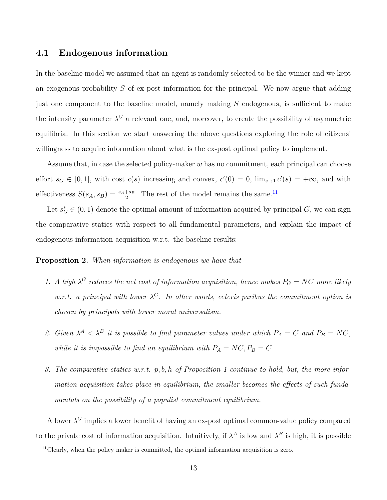#### **4.1 Endogenous information**

In the baseline model we assumed that an agent is randomly selected to be the winner and we kept an exogenous probability *S* of ex post information for the principal. We now argue that adding just one component to the baseline model, namely making *S* endogenous, is sufficient to make the intensity parameter  $\lambda^G$  a relevant one, and, moreover, to create the possibility of asymmetric equilibria. In this section we start answering the above questions exploring the role of citizens' willingness to acquire information about what is the ex-post optimal policy to implement.

Assume that, in case the selected policy-maker *w* has no commitment, each principal can choose effort  $s_G \in [0,1]$ , with cost  $c(s)$  increasing and convex,  $c'(0) = 0$ ,  $\lim_{s\to 1} c'(s) = +\infty$ , and with effectiveness  $S(s_A, s_B) = \frac{s_A + s_B}{2}$ . The rest of the model remains the same.<sup>[11](#page-12-0)</sup>

Let  $s_G^* \in (0,1)$  denote the optimal amount of information acquired by principal *G*, we can sign the comparative statics with respect to all fundamental parameters, and explain the impact of endogenous information acquisition w.r.t. the baseline results:

#### <span id="page-12-1"></span>**Proposition 2.** *When information is endogenous we have that*

- *1. A high*  $\lambda^G$  *reduces the net cost of information acquisition, hence makes*  $P_G = NC$  *more likely w.r.t.* a principal with lower  $\lambda^G$ . In other words, ceteris paribus the commitment option is *chosen by principals with lower moral universalism.*
- 2. *Given*  $\lambda^A < \lambda^B$  *it is possible to find parameter values under which*  $P_A = C$  *and*  $P_B = NC$ *, while it is impossible to find an equilibrium with*  $P_A = NC, P_B = C$ *.*
- *3. The comparative statics w.r.t. p, b, h of Proposition 1 continue to hold, but, the more information acquisition takes place in equilibrium, the smaller becomes the effects of such fundamentals on the possibility of a populist commitment equilibrium.*

A lower  $\lambda^G$  implies a lower benefit of having an ex-post optimal common-value policy compared to the private cost of information acquisition. Intuitively, if  $\lambda^A$  is low and  $\lambda^B$  is high, it is possible

<span id="page-12-0"></span> $11$ <sup>Clearly, when the policy maker is committed, the optimal information acquisition is zero.</sup>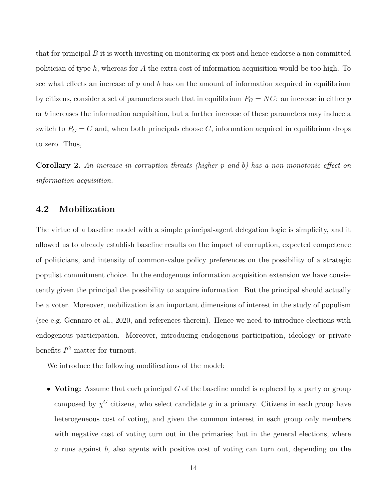that for principal *B* it is worth investing on monitoring ex post and hence endorse a non committed politician of type *h*, whereas for *A* the extra cost of information acquisition would be too high. To see what effects an increase of *p* and *b* has on the amount of information acquired in equilibrium by citizens, consider a set of parameters such that in equilibrium  $P_G = NC$ : an increase in either *p* or *b* increases the information acquisition, but a further increase of these parameters may induce a switch to  $P_G = C$  and, when both principals choose C, information acquired in equilibrium drops to zero. Thus,

<span id="page-13-0"></span>**Corollary 2.** *An increase in corruption threats (higher p and b) has a non monotonic effect on information acquisition.*

#### **4.2 Mobilization**

The virtue of a baseline model with a simple principal-agent delegation logic is simplicity, and it allowed us to already establish baseline results on the impact of corruption, expected competence of politicians, and intensity of common-value policy preferences on the possibility of a strategic populist commitment choice. In the endogenous information acquisition extension we have consistently given the principal the possibility to acquire information. But the principal should actually be a voter. Moreover, mobilization is an important dimensions of interest in the study of populism (see e.g. Gennaro et al., 2020, and references therein). Hence we need to introduce elections with endogenous participation. Moreover, introducing endogenous participation, ideology or private benefits  $I^G$  matter for turnout.

We introduce the following modifications of the model:

• **Voting:** Assume that each principal *G* of the baseline model is replaced by a party or group composed by  $\chi^G$  citizens, who select candidate *g* in a primary. Citizens in each group have heterogeneous cost of voting, and given the common interest in each group only members with negative cost of voting turn out in the primaries; but in the general elections, where *a* runs against *b*, also agents with positive cost of voting can turn out, depending on the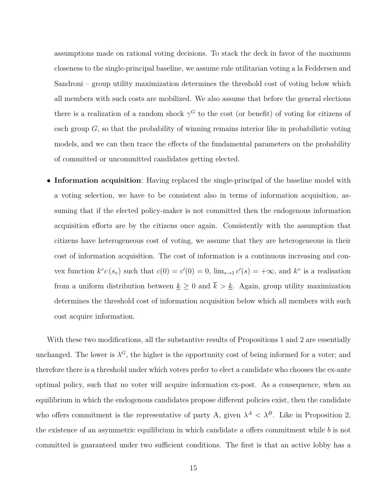assumptions made on rational voting decisions. To stack the deck in favor of the maximum closeness to the single-principal baseline, we assume rule utilitarian voting a la Feddersen and Sandroni – group utility maximization determines the threshold cost of voting below which all members with such costs are mobilized. We also assume that before the general elections there is a realization of a random shock  $\gamma^G$  to the cost (or benefit) of voting for citizens of each group  $G$ , so that the probability of winning remains interior like in probabilistic voting models, and we can then trace the effects of the fundamental parameters on the probability of committed or uncommitted candidates getting elected.

• **Information acquisition**: Having replaced the single-principal of the baseline model with a voting selection, we have to be consistent also in terms of information acquisition, assuming that if the elected policy-maker is not committed then the endogenous information acquisition efforts are by the citizens once again. Consistently with the assumption that citizens have heterogeneous cost of voting, we assume that they are heterogeneous in their cost of information acquisition. The cost of information is a continuous increasing and convex function  $k^v c(s_v)$  such that  $c(0) = c'(0) = 0$ ,  $\lim_{s \to 1} c'(s) = +\infty$ , and  $k^v$  is a realisation from a uniform distribution between  $\underline{k} \geq 0$  and  $\overline{k} > \underline{k}$ . Again, group utility maximization determines the threshold cost of information acquisition below which all members with such cost acquire information.

With these two modifications, all the substantive results of Propositions 1 and 2 are essentially unchanged. The lower is  $\lambda^G$ , the higher is the opportunity cost of being informed for a voter; and therefore there is a threshold under which voters prefer to elect a candidate who chooses the ex-ante optimal policy, such that no voter will acquire information ex-post. As a consequence, when an equilibrium in which the endogenous candidates propose different policies exist, then the candidate who offers commitment is the representative of party A, given  $\lambda^A < \lambda^B$ . Like in Proposition 2, the existence of an asymmetric equilibrium in which candidate *a* offers commitment while *b* is not committed is guaranteed under two sufficient conditions. The first is that an active lobby has a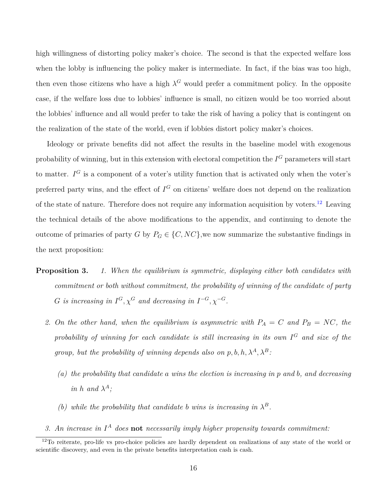high willingness of distorting policy maker's choice. The second is that the expected welfare loss when the lobby is influencing the policy maker is intermediate. In fact, if the bias was too high, then even those citizens who have a high  $\lambda^G$  would prefer a commitment policy. In the opposite case, if the welfare loss due to lobbies' influence is small, no citizen would be too worried about the lobbies' influence and all would prefer to take the risk of having a policy that is contingent on the realization of the state of the world, even if lobbies distort policy maker's choices.

Ideology or private benefits did not affect the results in the baseline model with exogenous probability of winning, but in this extension with electoral competition the *I <sup>G</sup>* parameters will start to matter. *I <sup>G</sup>* is a component of a voter's utility function that is activated only when the voter's preferred party wins, and the effect of  $I<sup>G</sup>$  on citizens' welfare does not depend on the realization of the state of nature. Therefore does not require any information acquisition by voters.<sup>[12](#page-15-0)</sup> Leaving the technical details of the above modifications to the appendix, and continuing to denote the outcome of primaries of party *G* by  $P_G \in \{C, NC\}$ , we now summarize the substantive findings in the next proposition:

- **Proposition 3.** *1. When the equilibrium is symmetric, displaying either both candidates with commitment or both without commitment, the probability of winning of the candidate of party G is increasing in*  $I^G$ *,*  $\chi^G$  *and decreasing in*  $I^{-G}$ *,*  $\chi^{-G}$ *.* 
	- 2. On the other hand, when the equilibrium is asymmetric with  $P_A = C$  and  $P_B = NC$ , the *probability of winning for each candidate is still increasing in its own I <sup>G</sup> and size of the group, but the probability of winning depends also on*  $p, b, h, \lambda^A, \lambda^B$ *:* 
		- *(a) the probability that candidate a wins the election is increasing in p and b, and decreasing in h* and  $\lambda^A$ ;
		- *(b)* while the probability that candidate *b* wins is increasing in  $\lambda^B$ .
	- *3. An increase in I <sup>A</sup> does* **not** *necessarily imply higher propensity towards commitment:*

<span id="page-15-0"></span> $12$ To reiterate, pro-life vs pro-choice policies are hardly dependent on realizations of any state of the world or scientific discovery, and even in the private benefits interpretation cash is cash.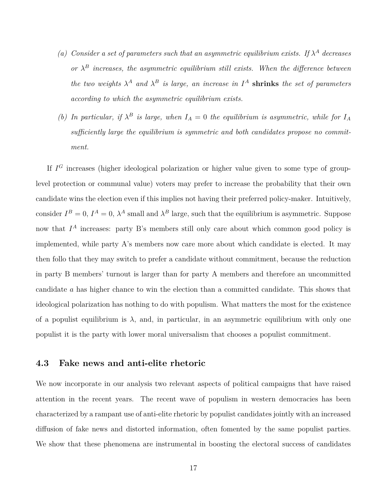- *(a) Consider a set of parameters such that an asymmetric equilibrium exists. If*  $\lambda^A$  *decreases or*  $\lambda^B$  *increases, the asymmetric equilibrium still exists. When the difference between the two weights*  $\lambda^A$  *and*  $\lambda^B$  *is large, an increase in*  $I^A$  **shrinks** *the set of parameters according to which the asymmetric equilibrium exists.*
- *(b)* In particular, if  $\lambda^B$  is large, when  $I_A = 0$  the equilibrium is asymmetric, while for  $I_A$ *sufficiently large the equilibrium is symmetric and both candidates propose no commitment.*

If  $I<sup>G</sup>$  increases (higher ideological polarization or higher value given to some type of grouplevel protection or communal value) voters may prefer to increase the probability that their own candidate wins the election even if this implies not having their preferred policy-maker. Intuitively, consider  $I^B = 0$ ,  $I^A = 0$ ,  $\lambda^A$  small and  $\lambda^B$  large, such that the equilibrium is asymmetric. Suppose now that  $I^A$  increases: party B's members still only care about which common good policy is implemented, while party A's members now care more about which candidate is elected. It may then follo that they may switch to prefer a candidate without commitment, because the reduction in party B members' turnout is larger than for party A members and therefore an uncommitted candidate *a* has higher chance to win the election than a committed candidate. This shows that ideological polarization has nothing to do with populism. What matters the most for the existence of a populist equilibrium is  $\lambda$ , and, in particular, in an asymmetric equilibrium with only one populist it is the party with lower moral universalism that chooses a populist commitment.

#### **4.3 Fake news and anti-elite rhetoric**

We now incorporate in our analysis two relevant aspects of political campaigns that have raised attention in the recent years. The recent wave of populism in western democracies has been characterized by a rampant use of anti-elite rhetoric by populist candidates jointly with an increased diffusion of fake news and distorted information, often fomented by the same populist parties. We show that these phenomena are instrumental in boosting the electoral success of candidates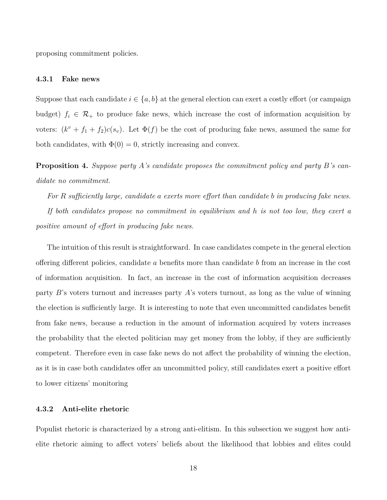proposing commitment policies.

#### **4.3.1 Fake news**

Suppose that each candidate  $i \in \{a, b\}$  at the general election can exert a costly effort (or campaign budget)  $f_i \in \mathcal{R}_+$  to produce fake news, which increase the cost of information acquisition by voters:  $(k^v + f_1 + f_2)c(s_v)$ . Let  $\Phi(f)$  be the cost of producing fake news, assumed the same for both candidates, with  $\Phi(0) = 0$ , strictly increasing and convex.

<span id="page-17-0"></span>**Proposition 4.** *Suppose party A's candidate proposes the commitment policy and party B's candidate no commitment.*

*For R sufficiently large, candidate a exerts more effort than candidate b in producing fake news.*

*If both candidates propose no commitment in equilibrium and h is not too low, they exert a positive amount of effort in producing fake news.*

The intuition of this result is straightforward. In case candidates compete in the general election offering different policies, candidate *a* benefits more than candidate *b* from an increase in the cost of information acquisition. In fact, an increase in the cost of information acquisition decreases party *B*'s voters turnout and increases party *A*'s voters turnout, as long as the value of winning the election is sufficiently large. It is interesting to note that even uncommitted candidates benefit from fake news, because a reduction in the amount of information acquired by voters increases the probability that the elected politician may get money from the lobby, if they are sufficiently competent. Therefore even in case fake news do not affect the probability of winning the election, as it is in case both candidates offer an uncommitted policy, still candidates exert a positive effort to lower citizens' monitoring

#### **4.3.2 Anti-elite rhetoric**

Populist rhetoric is characterized by a strong anti-elitism. In this subsection we suggest how antielite rhetoric aiming to affect voters' beliefs about the likelihood that lobbies and elites could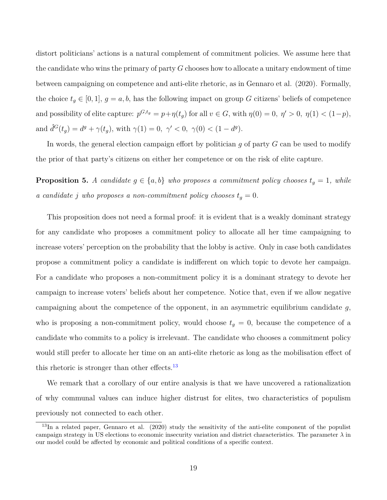distort politicians' actions is a natural complement of commitment policies. We assume here that the candidate who wins the primary of party *G* chooses how to allocate a unitary endowment of time between campaigning on competence and anti-elite rhetoric, as in Gennaro et al. (2020). Formally, the choice  $t_g \in [0,1], g = a, b$ , has the following impact on group *G* citizens' beliefs of competence and possibility of elite capture:  $p^{G,t_g} = p + \eta(t_g)$  for all  $v \in G$ , with  $\eta(0) = 0, \eta' > 0, \eta(1) < (1-p)$ , and  $\hat{d}^G(t_g) = d^g + \gamma(t_g)$ , with  $\gamma(1) = 0, \ \gamma' < 0, \ \gamma(0) < (1 - d^g)$ .

In words, the general election campaign effort by politician *g* of party *G* can be used to modify the prior of that party's citizens on either her competence or on the risk of elite capture.

**Proposition 5.** *A candidate*  $g \in \{a, b\}$  *who proposes a commitment policy chooses*  $t_g = 1$ *, while a candidate j* who proposes a non-commitment policy chooses  $t_g = 0$ .

This proposition does not need a formal proof: it is evident that is a weakly dominant strategy for any candidate who proposes a commitment policy to allocate all her time campaigning to increase voters' perception on the probability that the lobby is active. Only in case both candidates propose a commitment policy a candidate is indifferent on which topic to devote her campaign. For a candidate who proposes a non-commitment policy it is a dominant strategy to devote her campaign to increase voters' beliefs about her competence. Notice that, even if we allow negative campaigning about the competence of the opponent, in an asymmetric equilibrium candidate *g*, who is proposing a non-commitment policy, would choose  $t<sub>g</sub> = 0$ , because the competence of a candidate who commits to a policy is irrelevant. The candidate who chooses a commitment policy would still prefer to allocate her time on an anti-elite rhetoric as long as the mobilisation effect of this rhetoric is stronger than other effects. $13$ 

We remark that a corollary of our entire analysis is that we have uncovered a rationalization of why communal values can induce higher distrust for elites, two characteristics of populism previously not connected to each other.

<span id="page-18-0"></span> $^{13}$ In a related paper, Gennaro et al. (2020) study the sensitivity of the anti-elite component of the populist campaign strategy in US elections to economic insecurity variation and district characteristics. The parameter *λ* in our model could be affected by economic and political conditions of a specific context.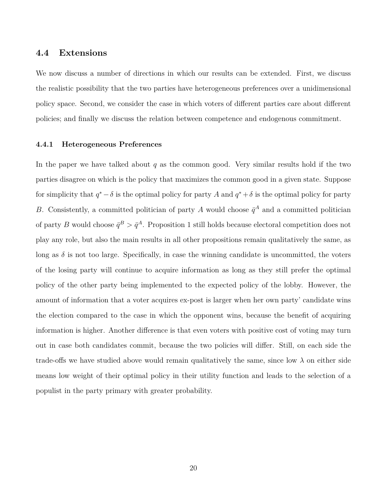#### **4.4 Extensions**

We now discuss a number of directions in which our results can be extended. First, we discuss the realistic possibility that the two parties have heterogeneous preferences over a unidimensional policy space. Second, we consider the case in which voters of different parties care about different policies; and finally we discuss the relation between competence and endogenous commitment.

#### **4.4.1 Heterogeneous Preferences**

In the paper we have talked about *q* as the common good. Very similar results hold if the two parties disagree on which is the policy that maximizes the common good in a given state. Suppose for simplicity that  $q^* - \delta$  is the optimal policy for party *A* and  $q^* + \delta$  is the optimal policy for party *B*. Consistently, a committed politician of party *A* would choose  $\bar{q}^A$  and a committed politician of party *B* would choose  $\bar{q}^B > \bar{q}^A$ . Proposition 1 still holds because electoral competition does not play any role, but also the main results in all other propositions remain qualitatively the same, as long as  $\delta$  is not too large. Specifically, in case the winning candidate is uncommitted, the voters of the losing party will continue to acquire information as long as they still prefer the optimal policy of the other party being implemented to the expected policy of the lobby. However, the amount of information that a voter acquires ex-post is larger when her own party' candidate wins the election compared to the case in which the opponent wins, because the benefit of acquiring information is higher. Another difference is that even voters with positive cost of voting may turn out in case both candidates commit, because the two policies will differ. Still, on each side the trade-offs we have studied above would remain qualitatively the same, since low  $\lambda$  on either side means low weight of their optimal policy in their utility function and leads to the selection of a populist in the party primary with greater probability.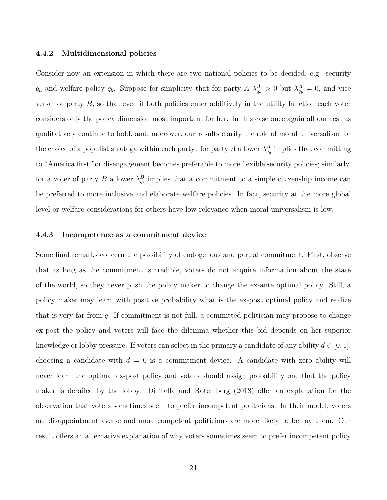#### **4.4.2 Multidimensional policies**

Consider now an extension in which there are two national policies to be decided, e.g. security *q*<sub>*a*</sub> and welfare policy  $q_b$ . Suppose for simplicity that for party  $A \lambda_{q_a}^A > 0$  but  $\lambda_{q_b}^A = 0$ , and vice versa for party  $B$ , so that even if both policies enter additively in the utility function each voter considers only the policy dimension most important for her. In this case once again all our results qualitatively continue to hold, and, moreover, our results clarify the role of moral universalism for the choice of a populist strategy within each party: for party *A* a lower  $\lambda_{q_a}^A$  implies that committing to "America first "or disengagement becomes preferable to more flexible security policies; similarly, for a voter of party *B* a lower  $\lambda_{q_b}^B$  implies that a commitment to a simple citizenship income can be preferred to more inclusive and elaborate welfare policies. In fact, security at the more global level or welfare considerations for others have low relevance when moral universalism is low.

#### **4.4.3 Incompetence as a commitment device**

Some final remarks concern the possibility of endogenous and partial commitment. First, observe that as long as the commitment is credible, voters do not acquire information about the state of the world, so they never push the policy maker to change the ex-ante optimal policy. Still, a policy maker may learn with positive probability what is the ex-post optimal policy and realize that is very far from  $\bar{q}$ . If commitment is not full, a committed politician may propose to change ex-post the policy and voters will face the dilemma whether this bid depends on her superior knowledge or lobby pressure. If voters can select in the primary a candidate of any ability  $d \in [0, 1]$ , choosing a candidate with  $d = 0$  is a commitment device. A candidate with zero ability will never learn the optimal ex-post policy and voters should assign probability one that the policy maker is derailed by the lobby. Di Tella and Rotemberg (2018) offer an explanation for the observation that voters sometimes seem to prefer incompetent politicians. In their model, voters are disappointment averse and more competent politicians are more likely to betray them. Our result offers an alternative explanation of why voters sometimes seem to prefer incompetent policy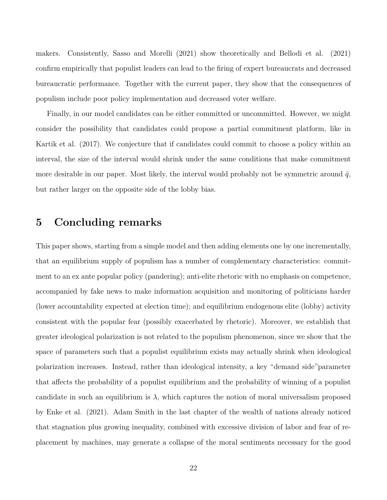makers. Consistently, Sasso and Morelli (2021) show theoretically and Bellodi et al. (2021) confirm empirically that populist leaders can lead to the firing of expert bureaucrats and decreased bureaucratic performance. Together with the current paper, they show that the consequences of populism include poor policy implementation and decreased voter welfare.

Finally, in our model candidates can be either committed or uncommitted. However, we might consider the possibility that candidates could propose a partial commitment platform, like in Kartik et al. (2017). We conjecture that if candidates could commit to choose a policy within an interval, the size of the interval would shrink under the same conditions that make commitment more desirable in our paper. Most likely, the interval would probably not be symmetric around  $\bar{q}$ , but rather larger on the opposite side of the lobby bias.

### **5 Concluding remarks**

This paper shows, starting from a simple model and then adding elements one by one incrementally, that an equilibrium supply of populism has a number of complementary characteristics: commitment to an ex ante popular policy (pandering); anti-elite rhetoric with no emphasis on competence, accompanied by fake news to make information acquisition and monitoring of politicians harder (lower accountability expected at election time); and equilibrium endogenous elite (lobby) activity consistent with the popular fear (possibly exacerbated by rhetoric). Moreover, we establish that greater ideological polarization is not related to the populism phenomenon, since we show that the space of parameters such that a populist equilibrium exists may actually shrink when ideological polarization increases. Instead, rather than ideological intensity, a key "demand side"parameter that affects the probability of a populist equilibrium and the probability of winning of a populist candidate in such an equilibrium is  $\lambda$ , which captures the notion of moral universalism proposed by Enke et al. (2021). Adam Smith in the last chapter of the wealth of nations already noticed that stagnation plus growing inequality, combined with excessive division of labor and fear of replacement by machines, may generate a collapse of the moral sentiments necessary for the good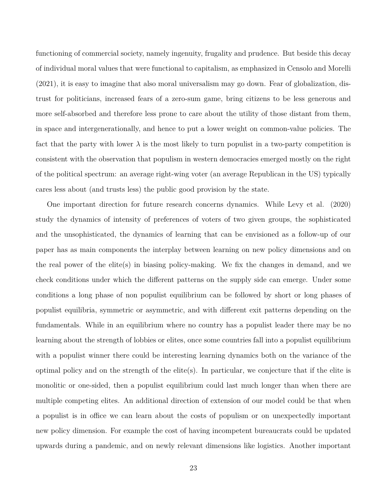functioning of commercial society, namely ingenuity, frugality and prudence. But beside this decay of individual moral values that were functional to capitalism, as emphasized in Censolo and Morelli (2021), it is easy to imagine that also moral universalism may go down. Fear of globalization, distrust for politicians, increased fears of a zero-sum game, bring citizens to be less generous and more self-absorbed and therefore less prone to care about the utility of those distant from them, in space and intergenerationally, and hence to put a lower weight on common-value policies. The fact that the party with lower  $\lambda$  is the most likely to turn populist in a two-party competition is consistent with the observation that populism in western democracies emerged mostly on the right of the political spectrum: an average right-wing voter (an average Republican in the US) typically cares less about (and trusts less) the public good provision by the state.

One important direction for future research concerns dynamics. While Levy et al. (2020) study the dynamics of intensity of preferences of voters of two given groups, the sophisticated and the unsophisticated, the dynamics of learning that can be envisioned as a follow-up of our paper has as main components the interplay between learning on new policy dimensions and on the real power of the elite(s) in biasing policy-making. We fix the changes in demand, and we check conditions under which the different patterns on the supply side can emerge. Under some conditions a long phase of non populist equilibrium can be followed by short or long phases of populist equilibria, symmetric or asymmetric, and with different exit patterns depending on the fundamentals. While in an equilibrium where no country has a populist leader there may be no learning about the strength of lobbies or elites, once some countries fall into a populist equilibrium with a populist winner there could be interesting learning dynamics both on the variance of the optimal policy and on the strength of the elite(s). In particular, we conjecture that if the elite is monolitic or one-sided, then a populist equilibrium could last much longer than when there are multiple competing elites. An additional direction of extension of our model could be that when a populist is in office we can learn about the costs of populism or on unexpectedly important new policy dimension. For example the cost of having incompetent bureaucrats could be updated upwards during a pandemic, and on newly relevant dimensions like logistics. Another important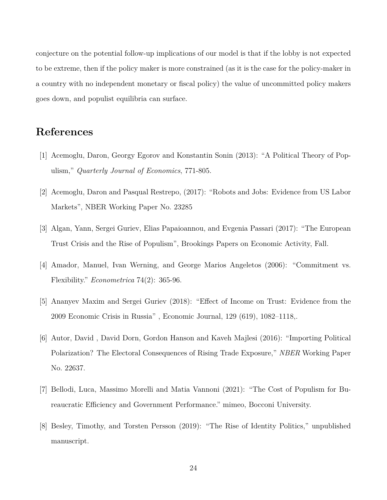conjecture on the potential follow-up implications of our model is that if the lobby is not expected to be extreme, then if the policy maker is more constrained (as it is the case for the policy-maker in a country with no independent monetary or fiscal policy) the value of uncommitted policy makers goes down, and populist equilibria can surface.

## **References**

- [1] Acemoglu, Daron, Georgy Egorov and Konstantin Sonin (2013): "A Political Theory of Populism," *Quarterly Journal of Economics*, 771-805.
- [2] Acemoglu, Daron and Pasqual Restrepo, (2017): "Robots and Jobs: Evidence from US Labor Markets", NBER Working Paper No. 23285
- [3] Algan, Yann, Sergei Guriev, Elias Papaioannou, and Evgenia Passari (2017): "The European Trust Crisis and the Rise of Populism", Brookings Papers on Economic Activity, Fall.
- [4] Amador, Manuel, Ivan Werning, and George Marios Angeletos (2006): "Commitment vs. Flexibility." *Econometrica* 74(2): 365-96.
- [5] Ananyev Maxim and Sergei Guriev (2018): "Effect of Income on Trust: Evidence from the 2009 Economic Crisis in Russia" , Economic Journal, 129 (619), 1082–1118,.
- [6] Autor, David , David Dorn, Gordon Hanson and Kaveh Majlesi (2016): "Importing Political Polarization? The Electoral Consequences of Rising Trade Exposure," *NBER* Working Paper No. 22637.
- [7] Bellodi, Luca, Massimo Morelli and Matia Vannoni (2021): "The Cost of Populism for Bureaucratic Efficiency and Government Performance." mimeo, Bocconi University.
- [8] Besley, Timothy, and Torsten Persson (2019): "The Rise of Identity Politics," unpublished manuscript.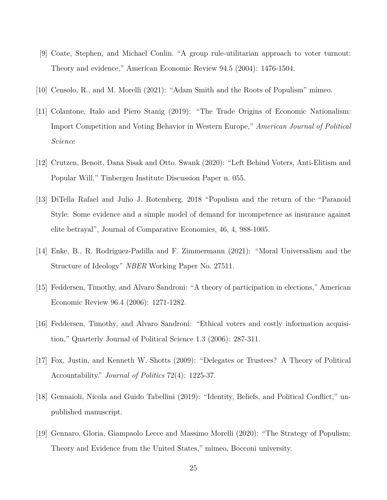- [9] Coate, Stephen, and Michael Conlin. "A group rule-utilitarian approach to voter turnout: Theory and evidence," American Economic Review 94.5 (2004): 1476-1504.
- [10] Censolo, R., and M. Morelli (2021): "Adam Smith and the Roots of Populism" mimeo.
- [11] Colantone, Italo and Piero Stanig (2019): "The Trade Origins of Economic Nationalism: Import Competition and Voting Behavior in Western Europe," *American Journal of Political Science*
- [12] Crutzen, Benoit, Dana Sisak and Otto. Swank (2020): "Left Behind Voters, Anti-Elitism and Popular Will," Tinbergen Institute Discussion Paper n. 055.
- [13] DiTella Rafael and Julio J. Rotemberg. 2018 "Populism and the return of the "Paranoid Style: Some evidence and a simple model of demand for incompetence as insurance against elite betrayal", Journal of Comparative Economics, 46, 4, 988-1005.
- [14] Enke, B., R. Rodriguez-Padilla and F. Zimmermann (2021): "Moral Universalism and the Structure of Ideology" *NBER* Working Paper No. 27511.
- [15] Feddersen, Timothy, and Alvaro Sandroni: "A theory of participation in elections," American Economic Review 96.4 (2006): 1271-1282.
- [16] Feddersen, Timothy, and Alvaro Sandroni: "Ethical voters and costly information acquisition," Quarterly Journal of Political Science 1.3 (2006): 287-311.
- [17] Fox, Justin, and Kenneth W. Shotts (2009): "Delegates or Trustees? A Theory of Political Accountability." *Journal of Politics* 72(4): 1225-37.
- [18] Gennaioli, Nicola and Guido Tabellini (2019): "Identity, Beliefs, and Political Conflict," unpublished manuscript.
- [19] Gennaro, Gloria, Giampaolo Lecce and Massimo Morelli (2020): "The Strategy of Populism: Theory and Evidence from the United States," mimeo, Bocconi university.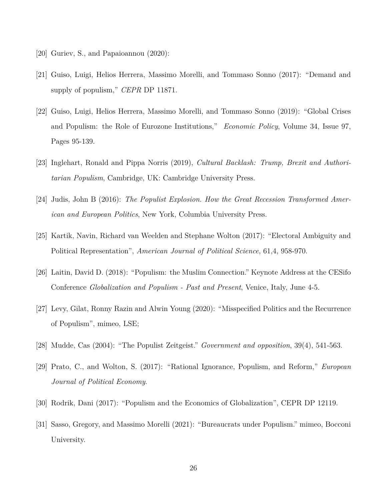- [20] Guriev, S., and Papaioannou (2020):
- [21] Guiso, Luigi, Helios Herrera, Massimo Morelli, and Tommaso Sonno (2017): "Demand and supply of populism," *CEPR* DP 11871.
- [22] Guiso, Luigi, Helios Herrera, Massimo Morelli, and Tommaso Sonno (2019): "Global Crises and Populism: the Role of Eurozone Institutions," *Economic Policy*, Volume 34, Issue 97, Pages 95-139.
- [23] Inglehart, Ronald and Pippa Norris (2019), *Cultural Backlash: Trump, Brexit and Authoritarian Populism*, Cambridge, UK: Cambridge University Press.
- [24] Judis, John B (2016): *The Populist Explosion. How the Great Recession Transformed American and European Politics*, New York, Columbia University Press.
- [25] Kartik, Navin, Richard van Weelden and Stephane Wolton (2017): "Electoral Ambiguity and Political Representation", *American Journal of Political Science*, 61,4, 958-970.
- [26] Laitin, David D. (2018): "Populism: the Muslim Connection." Keynote Address at the CESifo Conference *Globalization and Populism - Past and Present*, Venice, Italy, June 4-5.
- [27] Levy, Gilat, Ronny Razin and Alwin Young (2020): "Misspecified Politics and the Recurrence of Populism", mimeo, LSE;
- [28] Mudde, Cas (2004): "The Populist Zeitgeist." *Government and opposition*, 39(4), 541-563.
- [29] Prato, C., and Wolton, S. (2017): "Rational Ignorance, Populism, and Reform," *European Journal of Political Economy*.
- [30] Rodrik, Dani (2017): "Populism and the Economics of Globalization", CEPR DP 12119.
- [31] Sasso, Gregory, and Massimo Morelli (2021): "Bureaucrats under Populism." mimeo, Bocconi University.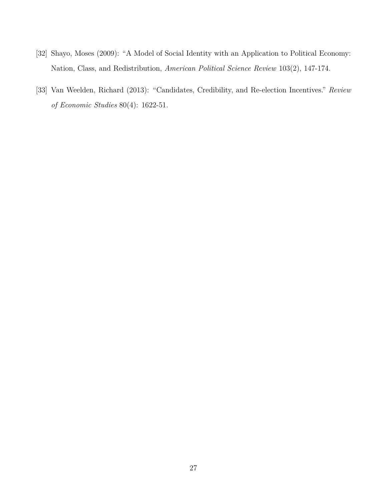- [32] Shayo, Moses (2009): "A Model of Social Identity with an Application to Political Economy: Nation, Class, and Redistribution, *American Political Science Review* 103(2), 147-174.
- [33] Van Weelden, Richard (2013): "Candidates, Credibility, and Re-election Incentives." *Review of Economic Studies* 80(4): 1622-51.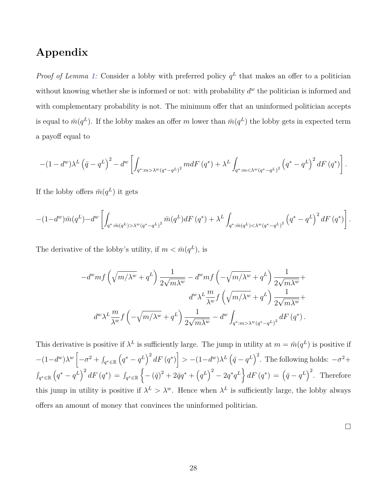## **Appendix**

*Proof of Lemma [1:](#page-9-0)* Consider a lobby with preferred policy  $q<sup>L</sup>$  that makes an offer to a politician without knowing whether she is informed or not: with probability  $d^w$  the politician is informed and with complementary probability is not. The minimum offer that an uninformed politician accepts is equal to  $\bar{m}(q^L)$ . If the lobby makes an offer *m* lower than  $\bar{m}(q^L)$  the lobby gets in expected term a payoff equal to

$$
-(1-d^{w})\lambda^{L}(\bar{q}-q^{L})^{2}-d^{w}\left[\int_{q^{*}:m>\lambda^{w}(q^{*}-q^{L})^{2}}mdF(q^{*})+\lambda^{L}\int_{q^{*}:m<\lambda^{w}(q^{*}-q^{L})^{2}}(q^{*}-q^{L})^{2}dF(q^{*})\right].
$$

If the lobby offers  $\bar{m}(q^L)$  it gets

$$
-(1-d^{w})\bar{m}(q^{L})-d^{w}\left[\int_{q^{*}:\bar{m}(q^{L})>\lambda^{w}(q^{*}-q^{L})^{2}}\bar{m}(q^{L})dF(q^{*})+\lambda^{L}\int_{q^{*}:\bar{m}(q^{L})<\lambda^{w}(q^{*}-q^{L})^{2}}\left(q^{*}-q^{L}\right)^{2}dF(q^{*})\right].
$$

The derivative of the lobby's utility, if  $m < \bar{m}(q^L)$ , is

$$
\begin{split} -d^w m f\left(\sqrt{m/\lambda^w}+q^L\right)\frac{1}{2\sqrt{m\lambda^w}}-d^w m f\left(-\sqrt{m/\lambda^w}+q^L\right)\frac{1}{2\sqrt{m\lambda^w}}+\\ d^w \lambda^L \frac{m}{\lambda^w}f\left(\sqrt{m/\lambda^w}+q^L\right)\frac{1}{2\sqrt{m\lambda^w}}+\\ d^w \lambda^L \frac{m}{\lambda^w}f\left(-\sqrt{m/\lambda^w}+q^L\right)\frac{1}{2\sqrt{m\lambda^w}}-d^w \int_{q^*: m>\lambda^w (q^*-q^L)^2}dF\left(q^*\right). \end{split}
$$

This derivative is positive if  $\lambda^L$  is sufficiently large. The jump in utility at  $m = \bar{m}(q^L)$  is positive if  $-(1-d^w)\lambda^w\left[-\sigma^2+\int_{q^*\in\mathbb{R}}\left(q^*-q^L\right)^2dF\left(q^*\right)\right] > -(1-d^w)\lambda^L\left(\bar{q}-q^L\right)^2$ . The following holds:  $-\sigma^2+$  $\int_{q^* \in \mathbb{R}} \left( q^* - q^L \right)^2 dF \left( q^* \right) \, = \, \int_{q^* \in \mathbb{R}}$  $\left\{ -(\bar{q})^2 + 2\bar{q}q^* + (q^L)^2 - 2q^*q^L \right\} dF(q^*) = (\bar{q} - q^L)^2$ . Therefore this jump in utility is positive if  $\lambda^L > \lambda^w$ . Hence when  $\lambda^L$  is sufficiently large, the lobby always offers an amount of money that convinces the uninformed politician.

 $\Box$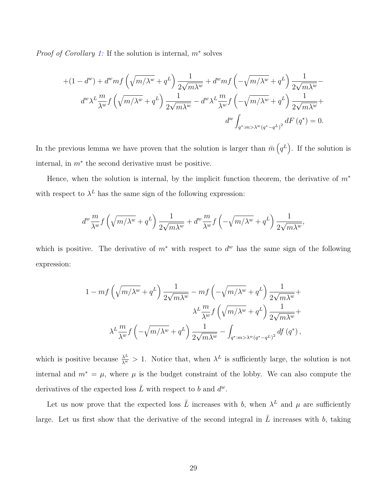*Proof of Corollary [1:](#page-10-0)* If the solution is internal, *m*<sup>∗</sup> solves

$$
+(1-d^w) + d^w m f\left(\sqrt{m/\lambda^w} + q^L\right) \frac{1}{2\sqrt{m\lambda^w}} + d^w m f\left(-\sqrt{m/\lambda^w} + q^L\right) \frac{1}{2\sqrt{m\lambda^w}} - d^w \lambda^L \frac{m}{\lambda^w} f\left(\sqrt{m/\lambda^w} + q^L\right) \frac{1}{2\sqrt{m\lambda^w}} - d^w \lambda^L \frac{m}{\lambda^w} f\left(-\sqrt{m/\lambda^w} + q^L\right) \frac{1}{2\sqrt{m\lambda^w}} + d^w \int_{q^* : m > \lambda^w (q^* - q^L)^2} dF\left(q^*\right) = 0.
$$

In the previous lemma we have proven that the solution is larger than  $\bar{m}$   $(q^L)$ . If the solution is internal, in *m*<sup>∗</sup> the second derivative must be positive.

Hence, when the solution is internal, by the implicit function theorem, the derivative of *m*<sup>∗</sup> with respect to  $\lambda^L$  has the same sign of the following expression:

$$
d^w \frac{m}{\lambda^w} f\left(\sqrt{m/\lambda^w} + q^L\right) \frac{1}{2\sqrt{m\lambda^w}} + d^w \frac{m}{\lambda^w} f\left(-\sqrt{m/\lambda^w} + q^L\right) \frac{1}{2\sqrt{m\lambda^w}},
$$

which is positive. The derivative of *m*<sup>∗</sup> with respect to *d <sup>w</sup>* has the same sign of the following expression:

$$
\begin{split} 1-mf\left(\sqrt{m/\lambda^w}+q^L\right)\frac{1}{2\sqrt{m\lambda^w}}-mf\left(-\sqrt{m/\lambda^w}+q^L\right)\frac{1}{2\sqrt{m\lambda^w}}+\\ &\lambda^L\frac{m}{\lambda^w}f\left(\sqrt{m/\lambda^w}+q^L\right)\frac{1}{2\sqrt{m\lambda^w}}+\\ &\lambda^L\frac{m}{\lambda^w}f\left(-\sqrt{m/\lambda^w}+q^L\right)\frac{1}{2\sqrt{m\lambda^w}}-\int_{q^*\cdot m>\lambda^w(q^*-q^L)^2}df\left(q^*\right), \end{split}
$$

which is positive because  $\frac{\lambda^L}{\lambda^w} > 1$ . Notice that, when  $\lambda^L$  is sufficiently large, the solution is not internal and  $m^* = \mu$ , where  $\mu$  is the budget constraint of the lobby. We can also compute the derivatives of the expected loss  $\overline{L}$  with respect to *b* and  $d^w$ .

Let us now prove that the expected loss  $\overline{L}$  increases with *b*, when  $\lambda^L$  and  $\mu$  are sufficiently large. Let us first show that the derivative of the second integral in  $\overline{L}$  increases with *b*, taking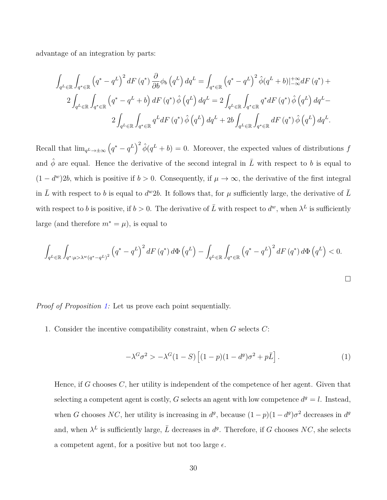advantage of an integration by parts:

$$
\int_{q^L \in \mathbb{R}} \int_{q^* \in \mathbb{R}} \left( q^* - q^L \right)^2 dF \left( q^* \right) \frac{\partial}{\partial b} \phi_b \left( q^L \right) dq^L = \int_{q^* \in \mathbb{R}} \left( q^* - q^L \right)^2 \hat{\phi}(q^L + b) \Big|_{-\infty}^{+\infty} dF \left( q^* \right) +
$$
\n
$$
2 \int_{q^L \in \mathbb{R}} \int_{q^* \in \mathbb{R}} \left( q^* - q^L + b \right) dF \left( q^* \right) \hat{\phi} \left( q^L \right) dq^L = 2 \int_{q^L \in \mathbb{R}} \int_{q^* \in \mathbb{R}} q^* dF \left( q^* \right) \hat{\phi} \left( q^L \right) dq^L -
$$
\n
$$
2 \int_{q^L \in \mathbb{R}} \int_{q^* \in \mathbb{R}} q^L dF \left( q^* \right) \hat{\phi} \left( q^L \right) dq^L + 2b \int_{q^L \in \mathbb{R}} \int_{q^* \in \mathbb{R}} dF \left( q^* \right) \hat{\phi} \left( q^L \right) dq^L.
$$

Recall that  $\lim_{q^L \to \pm \infty} (q^* - q^L)^2 \hat{\phi}(q^L + b) = 0$ . Moreover, the expected values of distributions *f* and  $\hat{\phi}$  are equal. Hence the derivative of the second integral in  $\overline{L}$  with respect to *b* is equal to  $(1 - d^w)2b$ , which is positive if  $b > 0$ . Consequently, if  $\mu \to \infty$ , the derivative of the first integral in  $\overline{L}$  with respect to *b* is equal to  $d^w2b$ . It follows that, for  $\mu$  sufficiently large, the derivative of  $\overline{L}$ with respect to *b* is positive, if  $b > 0$ . The derivative of  $\overline{L}$  with respect to  $d^w$ , when  $\lambda^L$  is sufficiently large (and therefore  $m^* = \mu$ ), is equal to

$$
\int_{q^{L} \in \mathbb{R}} \int_{q^{*} : \mu > \lambda^{w} (q^{*} - q^{L})^{2}} \left( q^{*} - q^{L} \right)^{2} dF\left(q^{*}\right) d\Phi\left(q^{L}\right) - \int_{q^{L} \in \mathbb{R}} \int_{q^{*} \in \mathbb{R}} \left( q^{*} - q^{L} \right)^{2} dF\left(q^{*}\right) d\Phi\left(q^{L}\right) < 0.
$$

*Proof of Proposition [1:](#page-0-0)* Let us prove each point sequentially.

1. Consider the incentive compatibility constraint, when *G* selects *C*:

<span id="page-29-0"></span>
$$
-\lambda^G \sigma^2 > -\lambda^G (1 - S) \left[ (1 - p)(1 - d^g) \sigma^2 + p \bar{L} \right]. \tag{1}
$$

Hence, if *G* chooses *C*, her utility is independent of the competence of her agent. Given that selecting a competent agent is costly, *G* selects an agent with low competence  $d^g = l$ . Instead, when *G* chooses *NC*, her utility is increasing in  $d^g$ , because  $(1-p)(1-d^g)\sigma^2$  decreases in  $d^g$ and, when  $\lambda^L$  is sufficiently large,  $\overline{L}$  decreases in  $d^g$ . Therefore, if *G* chooses *NC*, she selects a competent agent, for a positive but not too large  $\epsilon$ .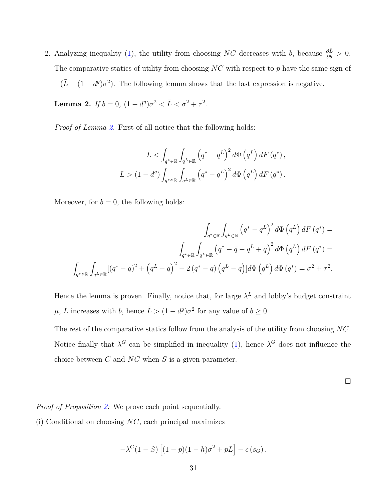2. Analyzing inequality [\(1\)](#page-29-0), the utility from choosing *NC* decreases with *b*, because  $\frac{\partial \bar{L}}{\partial b} > 0$ . The comparative statics of utility from choosing *NC* with respect to *p* have the same sign of  $-(\bar{L}-(1-d^g)\sigma^2)$ . The following lemma shows that the last expression is negative.

<span id="page-30-0"></span>**Lemma 2.** *If*  $b = 0$ ,  $(1 - d^g)\sigma^2 < \bar{L} < \sigma^2 + \tau^2$ .

*Proof of Lemma [2](#page-30-0)*. First of all notice that the following holds:

$$
\bar{L} < \int_{q^* \in \mathbb{R}} \int_{q^L \in \mathbb{R}} \left( q^* - q^L \right)^2 d\Phi \left( q^L \right) dF \left( q^* \right),
$$
\n
$$
\bar{L} > (1 - d^g) \int_{q^* \in \mathbb{R}} \int_{q^L \in \mathbb{R}} \left( q^* - q^L \right)^2 d\Phi \left( q^L \right) dF \left( q^* \right).
$$

Moreover, for  $b = 0$ , the following holds:

$$
\int_{q^* \in \mathbb{R}} \int_{q^L \in \mathbb{R}} \left( q^* - q^L \right)^2 d\Phi \left( q^L \right) dF \left( q^* \right) =
$$
\n
$$
\int_{q^* \in \mathbb{R}} \int_{q^L \in \mathbb{R}} \left( q^* - \bar{q} - q^L + \bar{q} \right)^2 d\Phi \left( q^L \right) dF \left( q^* \right) =
$$
\n
$$
\int_{q^* \in \mathbb{R}} \int_{q^L \in \mathbb{R}} \left[ \left( q^* - \bar{q} \right)^2 + \left( q^L - \bar{q} \right)^2 - 2 \left( q^* - \bar{q} \right) \left( q^L - \bar{q} \right) \right] d\Phi \left( q^L \right) d\Phi \left( q^* \right) = \sigma^2 + \tau^2.
$$

Hence the lemma is proven. Finally, notice that, for large  $\lambda^L$  and lobby's budget constraint  $\mu$ ,  $\overline{L}$  increases with *b*, hence  $\overline{L} > (1 - d^g)\sigma^2$  for any value of  $b \geq 0$ .

The rest of the comparative statics follow from the analysis of the utility from choosing *NC*. Notice finally that  $\lambda^G$  can be simplified in inequality [\(1\)](#page-29-0), hence  $\lambda^G$  does not influence the choice between *C* and *NC* when *S* is a given parameter.

 $\Box$ 

*Proof of Proposition [2:](#page-12-1)* We prove each point sequentially.

(i) Conditional on choosing *NC*, each principal maximizes

$$
-\lambda^G(1-S)\left[(1-p)(1-h)\sigma^2+p\bar{L}\right]-c(s_G).
$$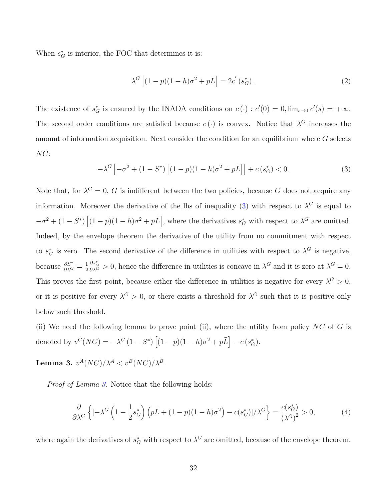When  $s_G^*$  is interior, the FOC that determines it is:

<span id="page-31-3"></span><span id="page-31-0"></span>
$$
\lambda^G \left[ (1-p)(1-h)\sigma^2 + p\bar{L} \right] = 2c' \left( s_G^* \right). \tag{2}
$$

The existence of  $s_G^*$  is ensured by the INADA conditions on  $c(\cdot) : c'(0) = 0$ ,  $\lim_{s\to 1} c'(s) = +\infty$ . The second order conditions are satisfied because  $c(\cdot)$  is convex. Notice that  $\lambda^G$  increases the amount of information acquisition. Next consider the condition for an equilibrium where *G* selects *NC*:

$$
-\lambda^G \left[ -\sigma^2 + (1 - S^*) \left[ (1 - p)(1 - h)\sigma^2 + p\bar{L} \right] \right] + c \left( s_G^* \right) < 0. \tag{3}
$$

Note that, for  $\lambda^G = 0$ , *G* is indifferent between the two policies, because *G* does not acquire any information. Moreover the derivative of the lhs of inequality [\(3\)](#page-31-0) with respect to  $\lambda^G$  is equal to  $-\sigma^2 + (1 - S^*) \left[ (1 - p)(1 - h)\sigma^2 + p\bar{L} \right]$ , where the derivatives  $s_G^*$  with respect to  $\lambda^G$  are omitted. Indeed, by the envelope theorem the derivative of the utility from no commitment with respect to  $s_G^*$  is zero. The second derivative of the difference in utilities with respect to  $\lambda^G$  is negative, because  $\frac{\partial S^*}{\partial \lambda^G} = \frac{1}{2}$ 2  $\frac{\partial s_G^*}{\partial \lambda^G} > 0$ , hence the difference in utilities is concave in  $\lambda^G$  and it is zero at  $\lambda^G = 0$ . This proves the first point, because either the difference in utilities is negative for every  $\lambda^G > 0$ , or it is positive for every  $\lambda^G > 0$ , or there exists a threshold for  $\lambda^G$  such that it is positive only below such threshold.

(ii) We need the following lemma to prove point (ii), where the utility from policy *NC* of *G* is denoted by  $v^G(NC) = -\lambda^G (1 - S^*) [(1 - p)(1 - h)\sigma^2 + p\bar{L}] - c(s_G^*).$ 

<span id="page-31-1"></span> ${\bf Lemma~3.}~~ v^A(NC)/\lambda^A < v^B(NC)/\lambda^B.$ 

*Proof of Lemma [3](#page-31-1)*. Notice that the following holds:

<span id="page-31-2"></span>
$$
\frac{\partial}{\partial \lambda^G} \left\{ \left[ -\lambda^G \left( 1 - \frac{1}{2} s_G^* \right) \left( p \bar{L} + (1 - p)(1 - h)\sigma^2 \right) - c(s_G^*) \right] / \lambda^G \right\} = \frac{c(s_G^*)}{\left( \lambda^G \right)^2} > 0,\tag{4}
$$

where again the derivatives of  $s_G^*$  with respect to  $\lambda^G$  are omitted, because of the envelope theorem.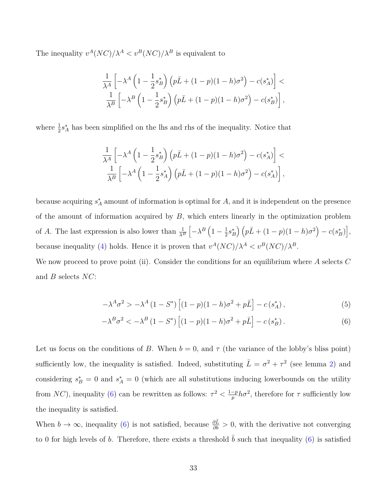The inequality  $v^A (NC) / \lambda^A < v^B (NC) / \lambda^B$  is equivalent to

$$
\frac{1}{\lambda^A} \left[ -\lambda^A \left( 1 - \frac{1}{2} s_B^* \right) \left( p\bar{L} + (1-p)(1-h)\sigma^2 \right) - c(s_A^*) \right] \n\frac{1}{\lambda^B} \left[ -\lambda^B \left( 1 - \frac{1}{2} s_B^* \right) \left( p\bar{L} + (1-p)(1-h)\sigma^2 \right) - c(s_B^*) \right],
$$

where  $\frac{1}{2}s_A^*$  has been simplified on the lhs and rhs of the inequality. Notice that

$$
\frac{1}{\lambda^A} \left[ -\lambda^A \left( 1 - \frac{1}{2} s_B^* \right) \left( p \bar{L} + (1 - p)(1 - h)\sigma^2 \right) - c(s_A^*) \right] \n\frac{1}{\lambda^B} \left[ -\lambda^A \left( 1 - \frac{1}{2} s_A^* \right) \left( p \bar{L} + (1 - p)(1 - h)\sigma^2 \right) - c(s_A^*) \right],
$$

because acquiring  $s_A^*$  amount of information is optimal for *A*, and it is independent on the presence of the amount of information acquired by *B*, which enters linearly in the optimization problem of *A*. The last expression is also lower than  $\frac{1}{\lambda^B}$  $\left[-\lambda^B\left(1-\frac{1}{2}\right)\right]$  $\frac{1}{2}s_B^* \left( p\bar{L} + (1-p)(1-h)\sigma^2 \right) - c(s_B^*) \Big],$ because inequality [\(4\)](#page-31-2) holds. Hence it is proven that  $v^A (NC) / \lambda^A < v^B (NC) / \lambda^B$ .

We now proceed to prove point (ii). Consider the conditions for an equilibrium where *A* selects *C* and *B* selects *NC*:

<span id="page-32-1"></span><span id="page-32-0"></span>
$$
-\lambda^A \sigma^2 > -\lambda^A (1 - S^*) \left[ (1 - p)(1 - h)\sigma^2 + p\bar{L} \right] - c \left( s_A^* \right),\tag{5}
$$

$$
-\lambda^{B}\sigma^{2} < -\lambda^{B} (1 - S^{*}) \left[ (1 - p)(1 - h)\sigma^{2} + p\bar{L} \right] - c \left( s_{B}^{*} \right). \tag{6}
$$

Let us focus on the conditions of *B*. When  $b = 0$ , and  $\tau$  (the variance of the lobby's bliss point) sufficiently low, the inequality is satisfied. Indeed, substituting  $\bar{L} = \sigma^2 + \tau^2$  (see lemma [2\)](#page-30-0) and considering  $s_B^* = 0$  and  $s_A^* = 0$  (which are all substitutions inducing lowerbounds on the utility from *NC*), inequality [\(6\)](#page-32-0) can be rewritten as follows:  $\tau^2 < \frac{1-p}{p}$  $\frac{-p}{p}h\sigma^2$ , therefore for  $\tau$  sufficiently low the inequality is satisfied.

When  $b \to \infty$ , inequality [\(6\)](#page-32-0) is not satisfied, because  $\frac{\partial \bar{L}}{\partial b} > 0$ , with the derivative not converging to 0 for high levels of *b*. Therefore, there exists a threshold *b* such that inequality  $(6)$  is satisfied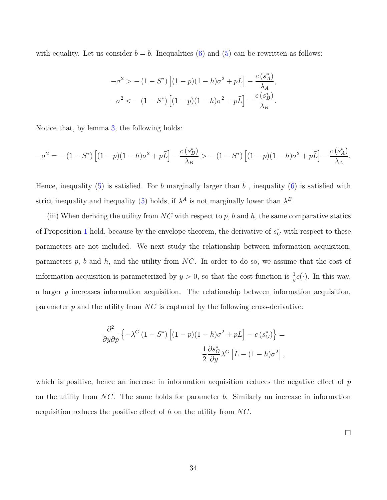with equality. Let us consider  $b = \overline{b}$ . Inequalities [\(6\)](#page-32-0) and [\(5\)](#page-32-1) can be rewritten as follows:

$$
-\sigma^2 > -(1 - S^*) \left[ (1 - p)(1 - h)\sigma^2 + p\bar{L} \right] - \frac{c(s_A^*)}{\lambda_A},
$$
  

$$
-\sigma^2 < -(1 - S^*) \left[ (1 - p)(1 - h)\sigma^2 + p\bar{L} \right] - \frac{c(s_B^*)}{\lambda_B}.
$$

Notice that, by lemma [3,](#page-31-1) the following holds:

$$
-\sigma^2 = -(1-S^*)\left[ (1-p)(1-h)\sigma^2 + p\bar{L} \right] - \frac{c(s_B^*)}{\lambda_B} > -(1-S^*)\left[ (1-p)(1-h)\sigma^2 + p\bar{L} \right] - \frac{c(s_A^*)}{\lambda_A}.
$$

Hence, inequality [\(5\)](#page-32-1) is satisfied. For *b* marginally larger than  $\bar{b}$ , inequality [\(6\)](#page-32-0) is satisfied with strict inequality and inequality [\(5\)](#page-32-1) holds, if  $\lambda^A$  is not marginally lower than  $\lambda^B$ .

(iii) When deriving the utility from *NC* with respect to *p*, *b* and *h*, the same comparative statics of Proposition [1](#page-0-0) hold, because by the envelope theorem, the derivative of  $s_G^*$  with respect to these parameters are not included. We next study the relationship between information acquisition, parameters *p*, *b* and *h*, and the utility from *NC*. In order to do so, we assume that the cost of information acquisition is parameterized by  $y > 0$ , so that the cost function is  $\frac{1}{y}c(\cdot)$ . In this way, a larger *y* increases information acquisition. The relationship between information acquisition, parameter *p* and the utility from *NC* is captured by the following cross-derivative:

$$
\frac{\partial^2}{\partial y \partial p} \left\{ -\lambda^G (1 - S^*) \left[ (1 - p)(1 - h)\sigma^2 + p\bar{L} \right] - c \left( s_G^* \right) \right\} =
$$
  

$$
\frac{1}{2} \frac{\partial s_G^*}{\partial y} \lambda^G \left[ \bar{L} - (1 - h)\sigma^2 \right],
$$

which is positive, hence an increase in information acquisition reduces the negative effect of *p* on the utility from *NC*. The same holds for parameter *b*. Similarly an increase in information acquisition reduces the positive effect of *h* on the utility from *NC*.

 $\Box$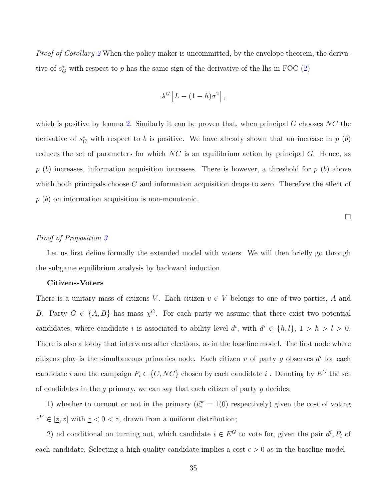*Proof of Corollary* [2](#page-13-0) When the policy maker is uncommitted, by the envelope theorem, the derivative of  $s_G^*$  with respect to *p* has the same sign of the derivative of the lhs in FOC [\(2\)](#page-31-3)

$$
\lambda^G \left[ \bar{L} - (1 - h)\sigma^2 \right],
$$

which is positive by lemma [2.](#page-30-0) Similarly it can be proven that, when principal *G* chooses *NC* the derivative of  $s_G^*$  with respect to *b* is positive. We have already shown that an increase in  $p(b)$ reduces the set of parameters for which *NC* is an equilibrium action by principal *G*. Hence, as *p* (*b*) increases, information acquisition increases. There is however, a threshold for *p* (*b*) above which both principals choose *C* and information acquisition drops to zero. Therefore the effect of *p* (*b*) on information acquisition is non-monotonic.

 $\Box$ 

#### *Proof of Proposition [3](#page-0-0)*

Let us first define formally the extended model with voters. We will then briefly go through the subgame equilibrium analysis by backward induction.

#### **Citizens-Voters**

There is a unitary mass of citizens *V*. Each citizen  $v \in V$  belongs to one of two parties, *A* and *B*. Party  $G \in \{A, B\}$  has mass  $\chi^G$ . For each party we assume that there exist two potential candidates, where candidate *i* is associated to ability level  $d^i$ , with  $d^i \in \{h, l\}, 1 > h > l > 0$ . There is also a lobby that intervenes after elections, as in the baseline model. The first node where citizens play is the simultaneous primaries node. Each citizen  $v$  of party  $g$  observes  $d^i$  for each candidate *i* and the campaign  $P_i \in \{C, NC\}$  chosen by each candidate *i*. Denoting by  $E^G$  the set of candidates in the *g* primary, we can say that each citizen of party *g* decides:

1) whether to turnout or not in the primary  $(t_v^{pr} = 1(0)$  respectively) given the cost of voting  $z^V \in [\underline{z}, \overline{z}]$  with  $\underline{z} < 0 < \overline{z}$ , drawn from a uniform distribution;

2) nd conditional on turning out, which candidate  $i \in E^G$  to vote for, given the pair  $d^i$ ,  $P_i$  of each candidate. Selecting a high quality candidate implies a cost  $\epsilon > 0$  as in the baseline model.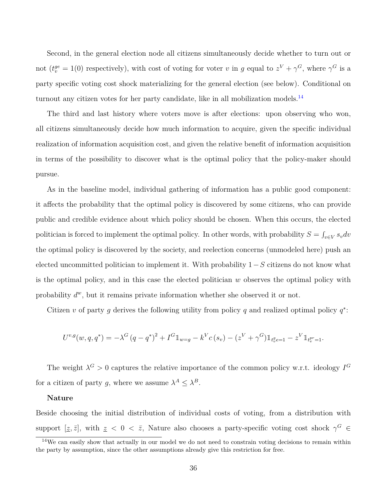Second, in the general election node all citizens simultaneously decide whether to turn out or not  $(t_v^{ge} = 1(0)$  respectively), with cost of voting for voter *v* in *g* equal to  $z^V + \gamma^G$ , where  $\gamma^G$  is a party specific voting cost shock materializing for the general election (see below). Conditional on turnout any citizen votes for her party candidate, like in all mobilization models.<sup>[14](#page-35-0)</sup>

The third and last history where voters move is after elections: upon observing who won, all citizens simultaneously decide how much information to acquire, given the specific individual realization of information acquisition cost, and given the relative benefit of information acquisition in terms of the possibility to discover what is the optimal policy that the policy-maker should pursue.

As in the baseline model, individual gathering of information has a public good component: it affects the probability that the optimal policy is discovered by some citizens, who can provide public and credible evidence about which policy should be chosen. When this occurs, the elected politician is forced to implement the optimal policy. In other words, with probability  $S = \int_{v \in V} s_v dv$ the optimal policy is discovered by the society, and reelection concerns (unmodeled here) push an elected uncommitted politician to implement it. With probability 1−*S* citizens do not know what is the optimal policy, and in this case the elected politician *w* observes the optimal policy with probability  $d^w$ , but it remains private information whether she observed it or not.

Citizen *v* of party *g* derives the following utility from policy *q* and realized optimal policy  $q^*$ :

$$
U^{v,g}(w,q,q^*) = -\lambda^G (q - q^*)^2 + I^G \mathbbm{1}_{w = g} - k^V c(s_v) - (z^V + \gamma^G) \mathbbm{1}_{t^g_v = 1} - z^V \mathbbm{1}_{t^{pr}_v = 1}.
$$

The weight  $\lambda^G > 0$  captures the relative importance of the common policy w.r.t. ideology  $I^G$ for a citizen of party *g*, where we assume  $\lambda^A \leq \lambda^B$ .

#### **Nature**

Beside choosing the initial distribution of individual costs of voting, from a distribution with support  $[\underline{z}, \overline{z}]$ , with  $\underline{z} < 0 < \overline{z}$ , Nature also chooses a party-specific voting cost shock  $\gamma^G \in$ 

<span id="page-35-0"></span> $14$ We can easily show that actually in our model we do not need to constrain voting decisions to remain within the party by assumption, since the other assumptions already give this restriction for free.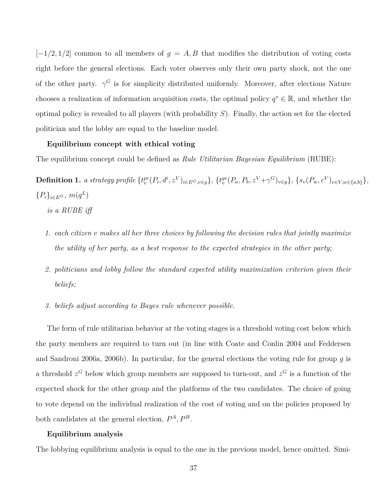$[-1/2, 1/2]$  common to all members of  $g = A, B$  that modifies the distribution of voting costs right before the general elections. Each voter observes only their own party shock, not the one of the other party.  $\gamma^G$  is for simplicity distributed uniformly. Moreover, after elections Nature chooses a realization of information acquisition costs, the optimal policy  $q^* \in \mathbb{R}$ , and whether the optimal policy is revealed to all players (with probability *S*). Finally, the action set for the elected politician and the lobby are equal to the baseline model.

#### **Equilibrium concept with ethical voting**

The equilibrium concept could be defined as *Rule Utilitarian Bayesian Equilibrium* (RUBE):

 $\textbf{Definition 1.}\ \ a\ strategy\ profile\ \{t_v^{pr}(P_i, d^i, z^V)_{i\in E^G,v\in g}\},\ \{t_v^{ge}(P_a, P_b, z^V + \gamma^G)_{v\in g}\},\ \{s_v(P_w, c^V)_{v\in V,w\in\{a,b\}}\},$  ${P_i}_{i \in E^G}, m(q^L)$ *is a RUBE iff*

- *1. each citizen v makes all her three choices by following the decision rules that jointly maximize the utility of her party, as a best response to the expected strategies in the other party;*
- *2. politicians and lobby follow the standard expected utility maximization criterion given their beliefs;*
- *3. beliefs adjust according to Bayes rule whenever possible.*

The form of rule utilitarian behavior at the voting stages is a threshold voting cost below which the party members are required to turn out (in line with Coate and Conlin 2004 and Feddersen and Sandroni 2006a, 2006b). In particular, for the general elections the voting rule for group *g* is a threshold  $z^G$  below which group members are supposed to turn-out, and  $z^G$  is a function of the expected shock for the other group and the platforms of the two candidates. The choice of going to vote depend on the individual realization of the cost of voting and on the policies proposed by both candidates at the general election,  $P^A$ ,  $P^B$ .

#### **Equilibrium analysis**

The lobbying equilibrium analysis is equal to the one in the previous model, hence omitted. Simi-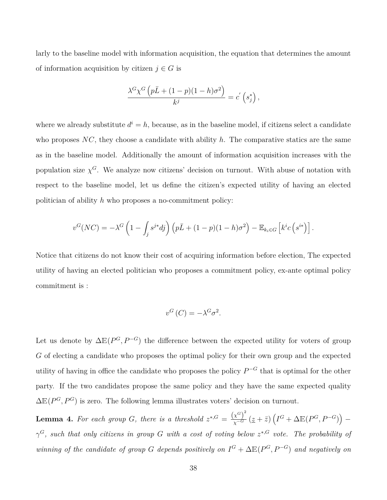larly to the baseline model with information acquisition, the equation that determines the amount of information acquisition by citizen  $j \in G$  is

$$
\frac{\lambda^G \chi^G \left(p\bar{L} + (1-p)(1-h)\sigma^2\right)}{k^j} = c' \left(s_j^*\right),
$$

where we already substitute  $d^{i} = h$ , because, as in the baseline model, if citizens select a candidate who proposes *NC*, they choose a candidate with ability *h*. The comparative statics are the same as in the baseline model. Additionally the amount of information acquisition increases with the population size  $\chi^G$ . We analyze now citizens' decision on turnout. With abuse of notation with respect to the baseline model, let us define the citizen's expected utility of having an elected politician of ability *h* who proposes a no-commitment policy:

$$
v^{G}(NC) = -\lambda^{G}\left(1 - \int_{j}s^{j*}dj\right)\left(p\bar{L} + (1-p)(1-h)\sigma^{2}\right) - \mathbb{E}_{k_{i}\in G}\left[k^{i}c\left(s^{i*}\right)\right].
$$

Notice that citizens do not know their cost of acquiring information before election, The expected utility of having an elected politician who proposes a commitment policy, ex-ante optimal policy commitment is :

$$
v^G(C) = -\lambda^G \sigma^2.
$$

Let us denote by  $\Delta E(P^G, P^{-G})$  the difference between the expected utility for voters of group *G* of electing a candidate who proposes the optimal policy for their own group and the expected utility of having in office the candidate who proposes the policy *P* <sup>−</sup>*<sup>G</sup>* that is optimal for the other party. If the two candidates propose the same policy and they have the same expected quality  $\Delta E(P^G, P^G)$  is zero. The following lemma illustrates voters' decision on turnout.

<span id="page-37-0"></span>**Lemma 4.** For each group *G*, there is a threshold  $z^{*,G} = \frac{(x^G)^2}{x^G}$  $\frac{\chi^G}{\chi^{-G}}\left(\underline{z}+\overline{z}\right)\left(I^G+\Delta\mathbb{E}(P^G,P^{-G})\right)$ *γ <sup>G</sup>, such that only citizens in group G with a cost of voting below z* <sup>∗</sup>*,G vote. The probability of winning of the candidate of group G depends positively on*  $I^G + \Delta \mathbb{E}(P^G, P^{-G})$  *and negatively on*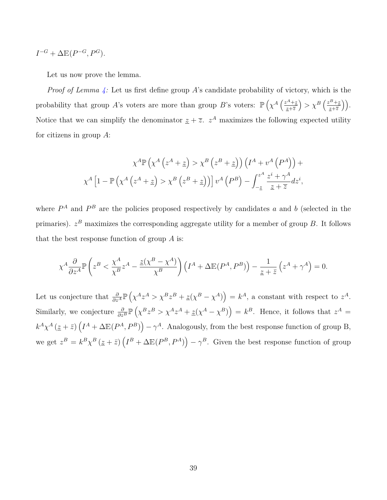$$
I^{-G} + \Delta \mathbb{E}(P^{-G}, P^G).
$$

Let us now prove the lemma.

*Proof of Lemma [4:](#page-37-0)* Let us first define group *A*'s candidate probability of victory, which is the probability that group *A*'s voters are more than group *B*'s voters:  $\mathbb{P}\left(\chi^A\left(\frac{z^A + \underline{z}}{z + \overline{z}}\right)\right)$ *z*+*z*  $\left( \frac{z^B + z}{z + \overline{z}} \right)$  $\left(\frac{B+z}{z+\overline{z}}\right)\right).$ Notice that we can simplify the denominator  $z + \overline{z}$ .  $z^A$  maximizes the following expected utility for citizens in group *A*:

$$
\chi^A \mathbb{P}\left(\chi^A \left(z^A + \underline{z}\right) > \chi^B \left(z^B + \underline{z}\right)\right) \left(I^A + v^A \left(P^A\right)\right) + \chi^A \left[1 - \mathbb{P}\left(\chi^A \left(z^A + \underline{z}\right) > \chi^B \left(z^B + \underline{z}\right)\right)\right] v^A \left(P^B\right) - \int_{-\underline{z}}^{z^A} \frac{z^i + \gamma^A}{\underline{z} + \overline{z}} dz^i,
$$

where  $P^A$  and  $P^B$  are the policies proposed respectively by candidates *a* and *b* (selected in the primaries). *z <sup>B</sup>* maximizes the corresponding aggregate utility for a member of group *B*. It follows that the best response function of group *A* is:

$$
\chi^A \frac{\partial}{\partial z^A} \mathbb{P}\left(z^B < \frac{\chi^A}{\chi^B} z^A - \frac{\underline{z}(\chi^B - \chi^A)}{\chi^B}\right) \left(I^A + \Delta \mathbb{E}(P^A, P^B)\right) - \frac{1}{\underline{z} + \bar{z}} \left(z^A + \gamma^A\right) = 0.
$$

Let us conjecture that  $\frac{\partial}{\partial z^A} \mathbb{P} \left( \chi^A z^A > \chi^B z^B + \underline{z} (\chi^B - \chi^A) \right) = k^A$ , a constant with respect to  $z^A$ . Similarly, we conjecture  $\frac{\partial}{\partial z^B} \mathbb{P}\left(\chi^B z^B > \chi^A z^A + \underline{z}(\chi^A - \chi^B)\right) = k^B$ . Hence, it follows that  $z^A =$  $k^A \chi^A(\underline{z} + \overline{z}) \left( I^A + \Delta \mathbb{E}(P^A, P^B) \right) - \gamma^A$ . Analogously, from the best response function of group B, we get  $z^B = k^B \chi^B (\underline{z} + \overline{z}) \left( I^B + \Delta \mathbb{E}(P^B, P^A) \right) - \gamma^B$ . Given the best response function of group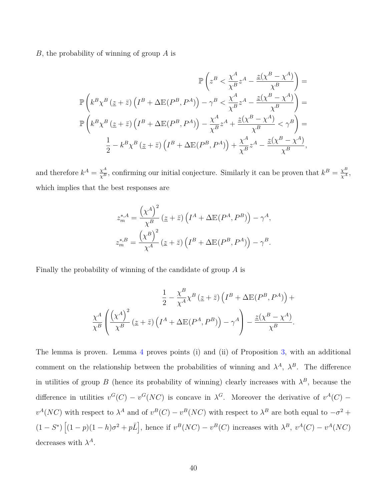*B*, the probability of winning of group *A* is

$$
\mathbb{P}\left(z^{B} < \frac{\chi^{A}}{\chi^{B}}z^{A} - \frac{\underline{z}(\chi^{B} - \chi^{A})}{\chi^{B}}\right) =
$$
\n
$$
\mathbb{P}\left(k^{B}\chi^{B}\left(\underline{z} + \overline{z}\right)\left(I^{B} + \Delta\mathbb{E}(P^{B}, P^{A})\right) - \gamma^{B} < \frac{\chi^{A}}{\chi^{B}}z^{A} - \frac{\underline{z}(\chi^{B} - \chi^{A})}{\chi^{B}}\right) =
$$
\n
$$
\mathbb{P}\left(k^{B}\chi^{B}\left(\underline{z} + \overline{z}\right)\left(I^{B} + \Delta\mathbb{E}(P^{B}, P^{A})\right) - \frac{\chi^{A}}{\chi^{B}}z^{A} + \frac{\underline{z}(\chi^{B} - \chi^{A})}{\chi^{B}} < \gamma^{B}\right) =
$$
\n
$$
\frac{1}{2} - k^{B}\chi^{B}\left(\underline{z} + \overline{z}\right)\left(I^{B} + \Delta\mathbb{E}(P^{B}, P^{A})\right) + \frac{\chi^{A}}{\chi^{B}}z^{A} - \frac{\underline{z}(\chi^{B} - \chi^{A})}{\chi^{B}},
$$

and therefore  $k^A = \frac{\chi^A}{\chi^B}$ , confirming our initial conjecture. Similarly it can be proven that  $k^B = \frac{\chi^B}{\chi^A}$ , which implies that the best responses are

$$
z_m^{*,A} = \frac{\left(\chi^A\right)^2}{\chi^B} \left(\underline{z} + \overline{z}\right) \left(I^A + \Delta \mathbb{E}(P^A, P^B)\right) - \gamma^A,
$$
  

$$
z_m^{*,B} = \frac{\left(\chi^B\right)^2}{\chi^A} \left(\underline{z} + \overline{z}\right) \left(I^B + \Delta \mathbb{E}(P^B, P^A)\right) - \gamma^B.
$$

Finally the probability of winning of the candidate of group *A* is

$$
\frac{1}{2} - \frac{\chi^B}{\chi^A} \chi^B \left( \underline{z} + \overline{z} \right) \left( I^B + \Delta \mathbb{E} (P^B, P^A) \right) + \frac{\chi^A}{\chi^B} \left( \frac{\left( \chi^A \right)^2}{\chi^B} \left( \underline{z} + \overline{z} \right) \left( I^A + \Delta \mathbb{E} (P^A, P^B) \right) - \gamma^A \right) - \frac{\underline{z} (\chi^B - \chi^A)}{\chi^B}.
$$

The lemma is proven. Lemma [4](#page-37-0) proves points (i) and (ii) of Proposition [3,](#page-0-0) with an additional comment on the relationship between the probabilities of winning and  $\lambda^A$ ,  $\lambda^B$ . The difference in utilities of group *B* (hence its probability of winning) clearly increases with  $\lambda^B$ , because the difference in utilities  $v^G(C) - v^G(NC)$  is concave in  $\lambda^G$ . Moreover the derivative of  $v^A(C)$  –  $v^A(NC)$  with respect to  $\lambda^A$  and of  $v^B(C) - v^B(NC)$  with respect to  $\lambda^B$  are both equal to  $-\sigma^2 +$  $(1-S^*)\left[(1-p)(1-h)\sigma^2+p\bar{L}\right]$ , hence if  $v^B(NC)-v^B(C)$  increases with  $\lambda^B$ ,  $v^A(C)-v^A(NC)$ decreases with  $\lambda^A$ .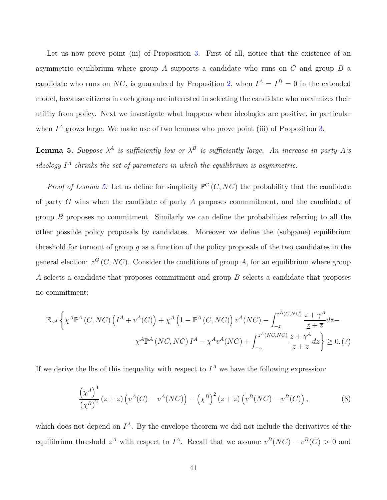Let us now prove point (iii) of Proposition [3.](#page-0-0) First of all, notice that the existence of an asymmetric equilibrium where group *A* supports a candidate who runs on *C* and group *B* a candidate who runs on *NC*, is guaranteed by Proposition [2,](#page-12-1) when  $I^A = I^B = 0$  in the extended model, because citizens in each group are interested in selecting the candidate who maximizes their utility from policy. Next we investigate what happens when ideologies are positive, in particular when  $I^A$  grows large. We make use of two lemmas who prove point (iii) of Proposition [3.](#page-0-0)

<span id="page-40-0"></span>**Lemma 5.** *Suppose*  $\lambda^A$  *is sufficiently low or*  $\lambda^B$  *is sufficiently large. An increase in party* A's *ideology I <sup>A</sup> shrinks the set of parameters in which the equilibrium is asymmetric.*

*Proof of Lemma [5:](#page-40-0)* Let us define for simplicity  $\mathbb{P}^G(C, NC)$  the probability that the candidate of party *G* wins when the candidate of party *A* proposes commmitment, and the candidate of group *B* proposes no commitment. Similarly we can define the probabilities referring to all the other possible policy proposals by candidates. Moreover we define the (subgame) equilibrium threshold for turnout of group *g* as a function of the policy proposals of the two candidates in the general election:  $z^G(C, NC)$ . Consider the conditions of group A, for an equilibrium where group *A* selects a candidate that proposes commitment and group *B* selects a candidate that proposes no commitment:

$$
\mathbb{E}_{\gamma^A} \left\{ \chi^A \mathbb{P}^A \left( C, NC \right) \left( I^A + v^A(C) \right) + \chi^A \left( 1 - \mathbb{P}^A \left( C, NC \right) \right) v^A (NC) - \int_{-\underline{z}}^{z^A (C, NC)} \frac{z + \gamma^A}{\underline{z} + \overline{z}} dz - \chi^A \mathbb{P}^A \left( NC, NC \right) I^A - \chi^A v^A (NC) + \int_{-\underline{z}}^{z^A (NC, NC)} \frac{z + \gamma^A}{\underline{z} + \overline{z}} dz \right\} \ge 0. (7)
$$

If we derive the lhs of this inequality with respect to  $I^A$  we have the following expression:

<span id="page-40-2"></span><span id="page-40-1"></span>
$$
\frac{\left(\chi^A\right)^4}{\left(\chi^B\right)^2} \left(\underline{z} + \overline{z}\right) \left(v^A(C) - v^A(NC)\right) - \left(\chi^B\right)^2 \left(\underline{z} + \overline{z}\right) \left(v^B(NC) - v^B(C)\right),\tag{8}
$$

which does not depend on  $I^A$ . By the envelope theorem we did not include the derivatives of the equilibrium threshold  $z^A$  with respect to  $I^A$ . Recall that we assume  $v^B(NC) - v^B(C) > 0$  and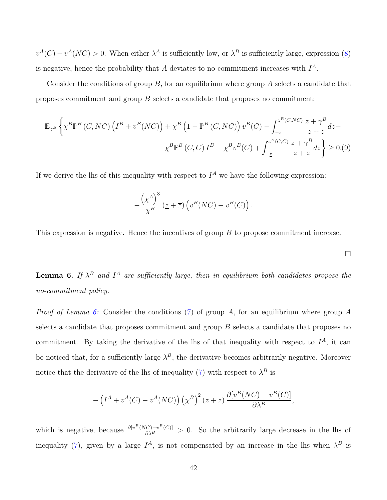$v^A(C) - v^A(NC) > 0$ . When either  $\lambda^A$  is sufficiently low, or  $\lambda^B$  is sufficiently large, expression [\(8\)](#page-40-1) is negative, hence the probability that *A* deviates to no commitment increases with *I A*.

Consider the conditions of group *B*, for an equilibrium where group *A* selects a candidate that proposes commitment and group *B* selects a candidate that proposes no commitment:

$$
\mathbb{E}_{\gamma^B} \left\{ \chi^B \mathbb{P}^B \left( C, NC \right) \left( I^B + v^B (NC) \right) + \chi^B \left( 1 - \mathbb{P}^B \left( C, NC \right) \right) v^B (C) - \int_{-\underline{z}}^{z^B (C, NC)} \frac{z + \gamma^B}{\underline{z} + \overline{z}} dz - \chi^B \mathbb{P}^B \left( C, C \right) I^B - \chi^B v^B (C) + \int_{-\underline{z}}^{z^B (C, C)} \frac{z + \gamma^B}{\underline{z} + \overline{z}} dz \right\} \ge 0. (9)
$$

If we derive the lhs of this inequality with respect to  $I^A$  we have the following expression:

$$
-\frac{\left(\chi^A\right)^3}{\chi^B}\left(\underline{z}+\overline{z}\right)\left(v^B(NC)-v^B(C)\right).
$$

This expression is negative. Hence the incentives of group *B* to propose commitment increase.

<span id="page-41-0"></span>**Lemma 6.** If  $\lambda^B$  and  $I^A$  are sufficiently large, then in equilibrium both candidates propose the *no-commitment policy.*

<span id="page-41-1"></span> $\Box$ 

*Proof of Lemma [6:](#page-41-0)* Consider the conditions [\(7\)](#page-40-2) of group *A*, for an equilibrium where group *A* selects a candidate that proposes commitment and group *B* selects a candidate that proposes no commitment. By taking the derivative of the lhs of that inequality with respect to  $I^A$ , it can be noticed that, for a sufficiently large  $\lambda^B$ , the derivative becomes arbitrarily negative. Moreover notice that the derivative of the lhs of inequality [\(7\)](#page-40-2) with respect to  $\lambda^B$  is

$$
-\left(I^A + v^A(C) - v^A(NC)\right)\left(\chi^B\right)^2\left(\underline{z} + \overline{z}\right) \frac{\partial[v^B(NC) - v^B(C)]}{\partial \lambda^B},
$$

which is negative, because  $\frac{\partial [v^B(NC)-v^B(C)]}{\partial \lambda^B}>0$ . So the arbitrarily large decrease in the lhs of inequality [\(7\)](#page-40-2), given by a large  $I^A$ , is not compensated by an increase in the lhs when  $\lambda^B$  is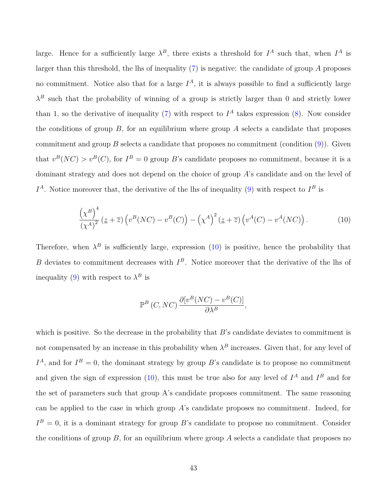large. Hence for a sufficiently large  $\lambda^B$ , there exists a threshold for  $I^A$  such that, when  $I^A$  is larger than this threshold, the lhs of inequality [\(7\)](#page-40-2) is negative: the candidate of group *A* proposes no commitment. Notice also that for a large  $I^A$ , it is always possible to find a sufficiently large  $\lambda^B$  such that the probability of winning of a group is strictly larger than 0 and strictly lower than 1, so the derivative of inequality [\(7\)](#page-40-2) with respect to  $I^A$  takes expression [\(8\)](#page-40-1). Now consider the conditions of group  $B$ , for an equilibrium where group  $A$  selects a candidate that proposes commitment and group  $B$  selects a candidate that proposes no commitment (condition  $(9)$ ). Given that  $v^B(NC) > v^B(C)$ , for  $I^B = 0$  group *B*'s candidate proposes no commitment, because it is a dominant strategy and does not depend on the choice of group *A*'s candidate and on the level of  $I^A$ . Notice moreover that, the derivative of the lhs of inequality [\(9\)](#page-41-1) with respect to  $I^B$  is

$$
\frac{\left(\chi^B\right)^4}{\left(\chi^A\right)^2} \left(\underline{z} + \overline{z}\right) \left(v^B (NC) - v^B (C)\right) - \left(\chi^A\right)^2 \left(\underline{z} + \overline{z}\right) \left(v^A (C) - v^A (NC)\right). \tag{10}
$$

Therefore, when  $\lambda^B$  is sufficiently large, expression [\(10\)](#page-42-0) is positive, hence the probability that *B* deviates to commitment decreases with *I <sup>B</sup>*. Notice moreover that the derivative of the lhs of inequality [\(9\)](#page-41-1) with respect to  $\lambda^B$  is

<span id="page-42-0"></span>
$$
\mathbb{P}^B(C, NC) \frac{\partial [v^B(NC) - v^B(C)]}{\partial \lambda^B},
$$

which is positive. So the decrease in the probability that *B*'s candidate deviates to commitment is not compensated by an increase in this probability when  $\lambda^B$  increases. Given that, for any level of  $I^A$ , and for  $I^B = 0$ , the dominant strategy by group *B*'s candidate is to propose no commitment and given the sign of expression  $(10)$ , this must be true also for any level of  $I^A$  and  $I^B$  and for the set of parameters such that group A's candidate proposes commitment. The same reasoning can be applied to the case in which group *A*'s candidate proposes no commitment. Indeed, for  $I^B = 0$ , it is a dominant strategy for group *B*'s candidate to propose no commitment. Consider the conditions of group *B*, for an equilibrium where group *A* selects a candidate that proposes no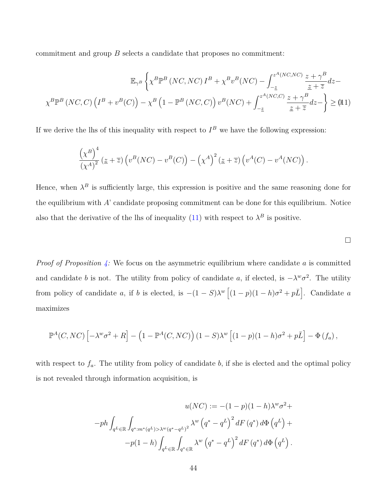commitment and group *B* selects a candidate that proposes no commitment:

$$
\mathbb{E}_{\gamma^B} \left\{ \chi^B \mathbb{P}^B \left( NC, NC \right) I^B + \chi^B v^B (NC) - \int_{-\underline{z}}^{z^A (NC, NC)} \frac{z + \gamma^B}{\underline{z} + \overline{z}} dz - \chi^B \mathbb{P}^B \left( NC, C \right) \left( I^B + v^B (C) \right) - \chi^B \left( 1 - \mathbb{P}^B \left( NC, C \right) \right) v^B (NC) + \int_{-\underline{z}}^{z^A (NC, C)} \frac{z + \gamma^B}{\underline{z} + \overline{z}} dz - \right\} \geq (11)
$$

If we derive the lhs of this inequality with respect to  $I^B$  we have the following expression:

$$
\frac{\left(\chi^B\right)^4}{\left(\chi^A\right)^2} \left(\underline{z} + \overline{z}\right) \left(v^B (NC) - v^B (C)\right) - \left(\chi^A\right)^2 \left(\underline{z} + \overline{z}\right) \left(v^A (C) - v^A (NC)\right).
$$

Hence, when  $\lambda^B$  is sufficiently large, this expression is positive and the same reasoning done for the equilibrium with *A*' candidate proposing commitment can be done for this equilibrium. Notice also that the derivative of the lhs of inequality  $(11)$  with respect to  $\lambda^B$  is positive.

<span id="page-43-0"></span>

*Proof of Proposition [4:](#page-17-0)* We focus on the asymmetric equilibrium where candidate *a* is committed and candidate *b* is not. The utility from policy of candidate *a*, if elected, is  $-\lambda^w \sigma^2$ . The utility from policy of candidate *a*, if *b* is elected, is  $-(1 - S)\lambda^w \left[ (1 - p)(1 - h)\sigma^2 + p\bar{L} \right]$ . Candidate *a* maximizes

$$
\mathbb{P}^A(C, NC) \left[ -\lambda^w \sigma^2 + R \right] - \left( 1 - \mathbb{P}^A(C, NC) \right) (1 - S) \lambda^w \left[ (1 - p)(1 - h) \sigma^2 + p \overline{L} \right] - \Phi(f_a),
$$

with respect to  $f_a$ . The utility from policy of candidate *b*, if she is elected and the optimal policy is not revealed through information acquisition, is

$$
u(NC) := -(1-p)(1-h)\lambda^w \sigma^2 +
$$
  

$$
-ph \int_{q^L \in \mathbb{R}} \int_{q^*:m^*(q^L) > \lambda^w (q^*-q^L)^2} \lambda^w \left(q^* - q^L\right)^2 dF\left(q^*\right) d\Phi\left(q^L\right) +
$$
  

$$
-p(1-h) \int_{q^L \in \mathbb{R}} \int_{q^* \in \mathbb{R}} \lambda^w \left(q^* - q^L\right)^2 dF\left(q^*\right) d\Phi\left(q^L\right).
$$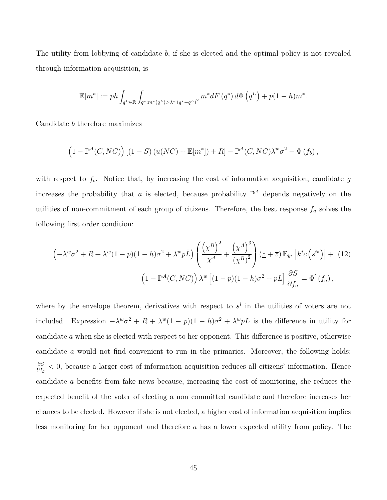The utility from lobbying of candidate *b*, if she is elected and the optimal policy is not revealed through information acquisition, is

$$
\mathbb{E}[m^*] := ph \int_{q^L \in \mathbb{R}} \int_{q^* : m^*(q^L) > \lambda^w (q^* - q^L)^2} m^* dF(q^*) d\Phi(q^L) + p(1-h) m^*.
$$

Candidate *b* therefore maximizes

$$
(1 - \mathbb{P}^A(C, NC)) [(1 - S) (u(NC) + \mathbb{E}[m^*]) + R] - \mathbb{P}^A(C, NC) \lambda^w \sigma^2 - \Phi(f_b),
$$

with respect to  $f<sub>b</sub>$ . Notice that, by increasing the cost of information acquisition, candidate  $g$ increases the probability that *a* is elected, because probability  $\mathbb{P}^A$  depends negatively on the utilities of non-commitment of each group of citizens. Therefore, the best response *f<sup>a</sup>* solves the following first order condition:

<span id="page-44-0"></span>
$$
\left(-\lambda^w \sigma^2 + R + \lambda^w (1-p)(1-h)\sigma^2 + \lambda^w p \bar{L}\right) \left(\frac{\left(\chi^B\right)^2}{\chi^A} + \frac{\left(\chi^A\right)^3}{\left(\chi^B\right)^2}\right) \left(\underline{z} + \overline{z}\right) \mathbb{E}_{k^i} \left[k^i c\left(s^{i*}\right)\right] + (12)
$$
\n
$$
\left(1 - \mathbb{P}^A(C, NC)\right) \lambda^w \left[(1-p)(1-h)\sigma^2 + p\bar{L}\right] \frac{\partial S}{\partial f_a} = \Phi'(f_a),
$$

where by the envelope theorem, derivatives with respect to  $s^i$  in the utilities of voters are not included. Expression  $-\lambda^w \sigma^2 + R + \lambda^w (1-p)(1-h)\sigma^2 + \lambda^w p\bar{L}$  is the difference in utility for candidate *a* when she is elected with respect to her opponent. This difference is positive, otherwise candidate *a* would not find convenient to run in the primaries. Moreover, the following holds: *∂S <sup>∂S</sup>*</sup><sub>*∂f<sub>g</sub>*</sub>  $\lt$  0, because a larger cost of information acquisition reduces all citizens' information. Hence candidate *a* benefits from fake news because, increasing the cost of monitoring, she reduces the expected benefit of the voter of electing a non committed candidate and therefore increases her chances to be elected. However if she is not elected, a higher cost of information acquisition implies less monitoring for her opponent and therefore *a* has a lower expected utility from policy. The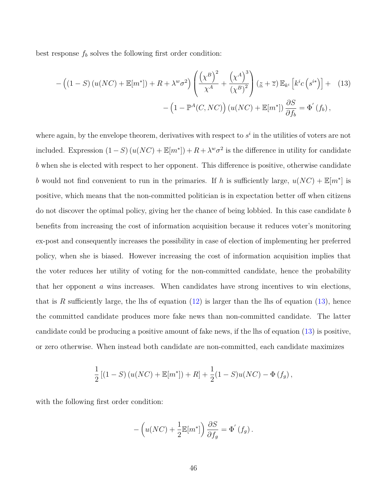best response  $f_b$  solves the following first order condition:

<span id="page-45-0"></span>
$$
-\left((1-S)\left(u(NC)+\mathbb{E}[m^*]\right)+R+\lambda^w\sigma^2\right)\left(\frac{\left(\chi^B\right)^2}{\chi^A}+\frac{\left(\chi^A\right)^3}{\left(\chi^B\right)^2}\right)(\underline{z}+\overline{z})\,\mathbb{E}_{k^i}\left[k^i c\left(s^{i*}\right)\right]+ (13) - \left(1-\mathbb{P}^A(C, NC)\right)\left(u(NC)+\mathbb{E}[m^*]\right)\frac{\partial S}{\partial f_b}=\Phi^{'}\left(f_b\right),
$$

where again, by the envelope theorem, derivatives with respect to  $s^i$  in the utilities of voters are not included. Expression  $(1 - S) (u(NC) + \mathbb{E}[m^*]) + R + \lambda^w \sigma^2$  is the difference in utility for candidate *b* when she is elected with respect to her opponent. This difference is positive, otherwise candidate *b* would not find convenient to run in the primaries. If *h* is sufficiently large,  $u(NC) + \mathbb{E}[m^*]$  is positive, which means that the non-committed politician is in expectation better off when citizens do not discover the optimal policy, giving her the chance of being lobbied. In this case candidate *b* benefits from increasing the cost of information acquisition because it reduces voter's monitoring ex-post and consequently increases the possibility in case of election of implementing her preferred policy, when she is biased. However increasing the cost of information acquisition implies that the voter reduces her utility of voting for the non-committed candidate, hence the probability that her opponent *a* wins increases. When candidates have strong incentives to win elections, that is *R* sufficiently large, the lhs of equation  $(12)$  is larger than the lhs of equation  $(13)$ , hence the committed candidate produces more fake news than non-committed candidate. The latter candidate could be producing a positive amount of fake news, if the lhs of equation [\(13\)](#page-45-0) is positive, or zero otherwise. When instead both candidate are non-committed, each candidate maximizes

$$
\frac{1}{2} [(1 - S) (u(NC) + \mathbb{E}[m^*]) + R] + \frac{1}{2} (1 - S) u(NC) - \Phi(f_g),
$$

with the following first order condition:

$$
-\left(u(NC) + \frac{1}{2}\mathbb{E}[m^*]\right)\frac{\partial S}{\partial f_g} = \Phi'(f_g).
$$